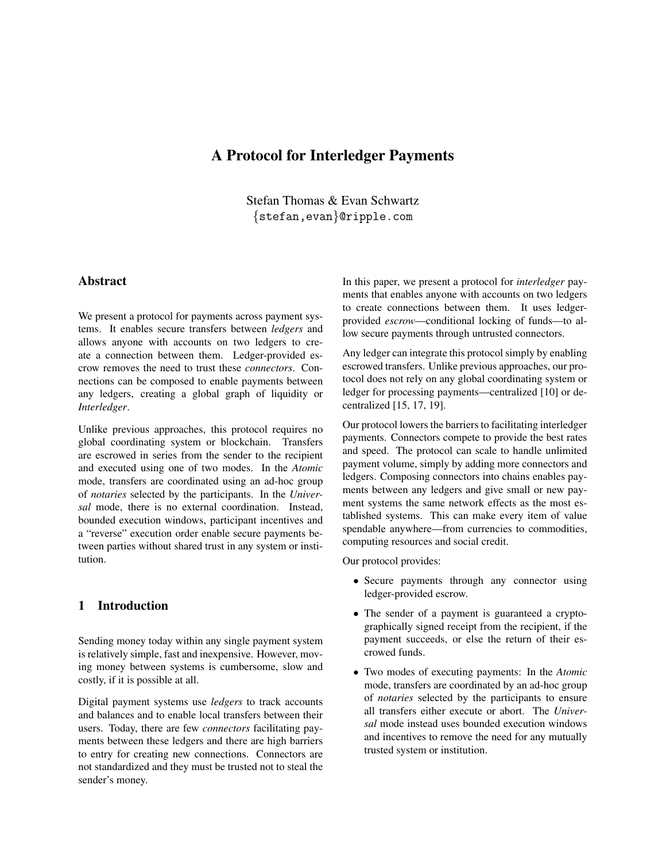# A Protocol for Interledger Payments

Stefan Thomas & Evan Schwartz {stefan,evan}@ripple.com

# Abstract

We present a protocol for payments across payment systems. It enables secure transfers between *ledgers* and allows anyone with accounts on two ledgers to create a connection between them. Ledger-provided escrow removes the need to trust these *connectors*. Connections can be composed to enable payments between any ledgers, creating a global graph of liquidity or *Interledger*.

Unlike previous approaches, this protocol requires no global coordinating system or blockchain. Transfers are escrowed in series from the sender to the recipient and executed using one of two modes. In the *Atomic* mode, transfers are coordinated using an ad-hoc group of *notaries* selected by the participants. In the *Universal* mode, there is no external coordination. Instead, bounded execution windows, participant incentives and a "reverse" execution order enable secure payments between parties without shared trust in any system or institution.

## 1 Introduction

Sending money today within any single payment system is relatively simple, fast and inexpensive. However, moving money between systems is cumbersome, slow and costly, if it is possible at all.

Digital payment systems use *ledgers* to track accounts and balances and to enable local transfers between their users. Today, there are few *connectors* facilitating payments between these ledgers and there are high barriers to entry for creating new connections. Connectors are not standardized and they must be trusted not to steal the sender's money.

In this paper, we present a protocol for *interledger* payments that enables anyone with accounts on two ledgers to create connections between them. It uses ledgerprovided *escrow*—conditional locking of funds—to allow secure payments through untrusted connectors.

Any ledger can integrate this protocol simply by enabling escrowed transfers. Unlike previous approaches, our protocol does not rely on any global coordinating system or ledger for processing payments—centralized [10] or decentralized [15, 17, 19].

Our protocol lowers the barriers to facilitating interledger payments. Connectors compete to provide the best rates and speed. The protocol can scale to handle unlimited payment volume, simply by adding more connectors and ledgers. Composing connectors into chains enables payments between any ledgers and give small or new payment systems the same network effects as the most established systems. This can make every item of value spendable anywhere—from currencies to commodities, computing resources and social credit.

Our protocol provides:

- Secure payments through any connector using ledger-provided escrow.
- The sender of a payment is guaranteed a cryptographically signed receipt from the recipient, if the payment succeeds, or else the return of their escrowed funds.
- Two modes of executing payments: In the *Atomic* mode, transfers are coordinated by an ad-hoc group of *notaries* selected by the participants to ensure all transfers either execute or abort. The *Universal* mode instead uses bounded execution windows and incentives to remove the need for any mutually trusted system or institution.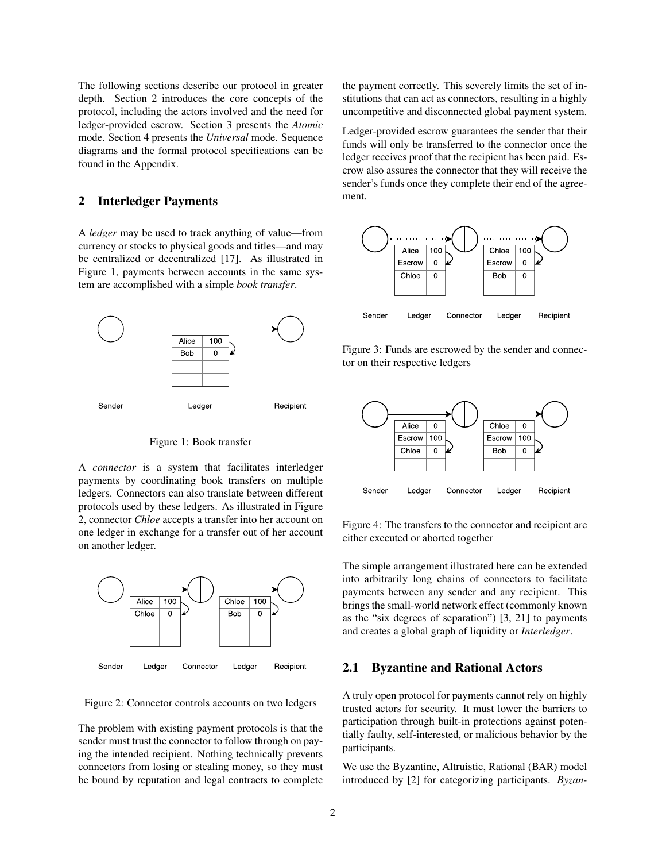The following sections describe our protocol in greater depth. Section 2 introduces the core concepts of the protocol, including the actors involved and the need for ledger-provided escrow. Section 3 presents the *Atomic* mode. Section 4 presents the *Universal* mode. Sequence diagrams and the formal protocol specifications can be found in the Appendix.

## 2 Interledger Payments

A *ledger* may be used to track anything of value—from currency or stocks to physical goods and titles—and may be centralized or decentralized [17]. As illustrated in Figure 1, payments between accounts in the same system are accomplished with a simple *book transfer*.



Figure 1: Book transfer

A *connector* is a system that facilitates interledger payments by coordinating book transfers on multiple ledgers. Connectors can also translate between different protocols used by these ledgers. As illustrated in Figure 2, connector *Chloe* accepts a transfer into her account on one ledger in exchange for a transfer out of her account on another ledger.



Figure 2: Connector controls accounts on two ledgers

The problem with existing payment protocols is that the sender must trust the connector to follow through on paying the intended recipient. Nothing technically prevents connectors from losing or stealing money, so they must be bound by reputation and legal contracts to complete the payment correctly. This severely limits the set of institutions that can act as connectors, resulting in a highly uncompetitive and disconnected global payment system.

Ledger-provided escrow guarantees the sender that their funds will only be transferred to the connector once the ledger receives proof that the recipient has been paid. Escrow also assures the connector that they will receive the sender's funds once they complete their end of the agreement.



Figure 3: Funds are escrowed by the sender and connector on their respective ledgers



Figure 4: The transfers to the connector and recipient are either executed or aborted together

The simple arrangement illustrated here can be extended into arbitrarily long chains of connectors to facilitate payments between any sender and any recipient. This brings the small-world network effect (commonly known as the "six degrees of separation") [3, 21] to payments and creates a global graph of liquidity or *Interledger*.

#### 2.1 Byzantine and Rational Actors

A truly open protocol for payments cannot rely on highly trusted actors for security. It must lower the barriers to participation through built-in protections against potentially faulty, self-interested, or malicious behavior by the participants.

We use the Byzantine, Altruistic, Rational (BAR) model introduced by [2] for categorizing participants. *Byzan-*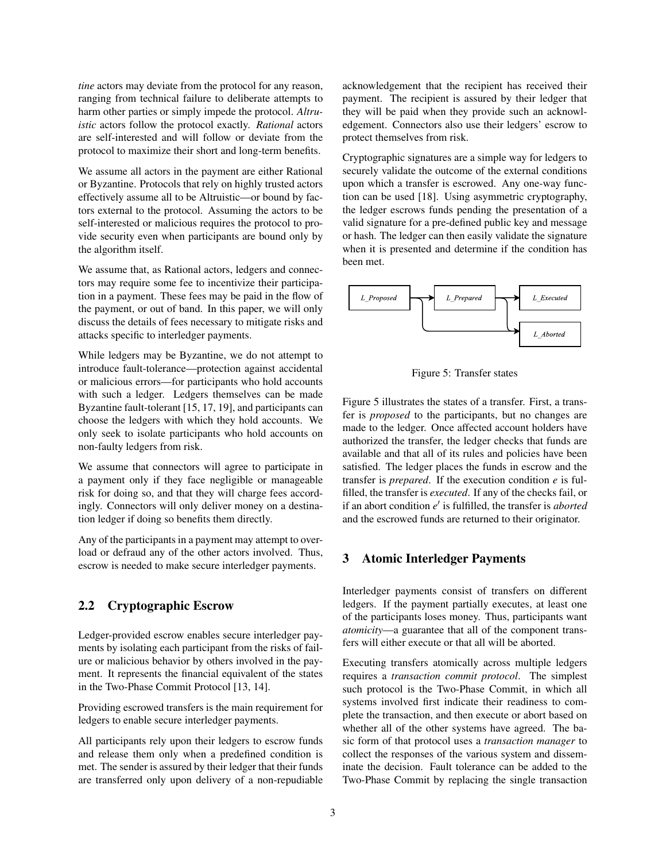*tine* actors may deviate from the protocol for any reason, ranging from technical failure to deliberate attempts to harm other parties or simply impede the protocol. *Altruistic* actors follow the protocol exactly. *Rational* actors are self-interested and will follow or deviate from the protocol to maximize their short and long-term benefits.

We assume all actors in the payment are either Rational or Byzantine. Protocols that rely on highly trusted actors effectively assume all to be Altruistic—or bound by factors external to the protocol. Assuming the actors to be self-interested or malicious requires the protocol to provide security even when participants are bound only by the algorithm itself.

We assume that, as Rational actors, ledgers and connectors may require some fee to incentivize their participation in a payment. These fees may be paid in the flow of the payment, or out of band. In this paper, we will only discuss the details of fees necessary to mitigate risks and attacks specific to interledger payments.

While ledgers may be Byzantine, we do not attempt to introduce fault-tolerance—protection against accidental or malicious errors—for participants who hold accounts with such a ledger. Ledgers themselves can be made Byzantine fault-tolerant [15, 17, 19], and participants can choose the ledgers with which they hold accounts. We only seek to isolate participants who hold accounts on non-faulty ledgers from risk.

We assume that connectors will agree to participate in a payment only if they face negligible or manageable risk for doing so, and that they will charge fees accordingly. Connectors will only deliver money on a destination ledger if doing so benefits them directly.

Any of the participants in a payment may attempt to overload or defraud any of the other actors involved. Thus, escrow is needed to make secure interledger payments.

## 2.2 Cryptographic Escrow

Ledger-provided escrow enables secure interledger payments by isolating each participant from the risks of failure or malicious behavior by others involved in the payment. It represents the financial equivalent of the states in the Two-Phase Commit Protocol [13, 14].

Providing escrowed transfers is the main requirement for ledgers to enable secure interledger payments.

All participants rely upon their ledgers to escrow funds and release them only when a predefined condition is met. The sender is assured by their ledger that their funds are transferred only upon delivery of a non-repudiable acknowledgement that the recipient has received their payment. The recipient is assured by their ledger that they will be paid when they provide such an acknowledgement. Connectors also use their ledgers' escrow to protect themselves from risk.

Cryptographic signatures are a simple way for ledgers to securely validate the outcome of the external conditions upon which a transfer is escrowed. Any one-way function can be used [18]. Using asymmetric cryptography, the ledger escrows funds pending the presentation of a valid signature for a pre-defined public key and message or hash. The ledger can then easily validate the signature when it is presented and determine if the condition has been met.



Figure 5: Transfer states

Figure 5 illustrates the states of a transfer. First, a transfer is *proposed* to the participants, but no changes are made to the ledger. Once affected account holders have authorized the transfer, the ledger checks that funds are available and that all of its rules and policies have been satisfied. The ledger places the funds in escrow and the transfer is *prepared*. If the execution condition *e* is fulfilled, the transfer is *executed*. If any of the checks fail, or if an abort condition  $e'$  is fulfilled, the transfer is *aborted* and the escrowed funds are returned to their originator.

## 3 Atomic Interledger Payments

Interledger payments consist of transfers on different ledgers. If the payment partially executes, at least one of the participants loses money. Thus, participants want *atomicity*—a guarantee that all of the component transfers will either execute or that all will be aborted.

Executing transfers atomically across multiple ledgers requires a *transaction commit protocol*. The simplest such protocol is the Two-Phase Commit, in which all systems involved first indicate their readiness to complete the transaction, and then execute or abort based on whether all of the other systems have agreed. The basic form of that protocol uses a *transaction manager* to collect the responses of the various system and disseminate the decision. Fault tolerance can be added to the Two-Phase Commit by replacing the single transaction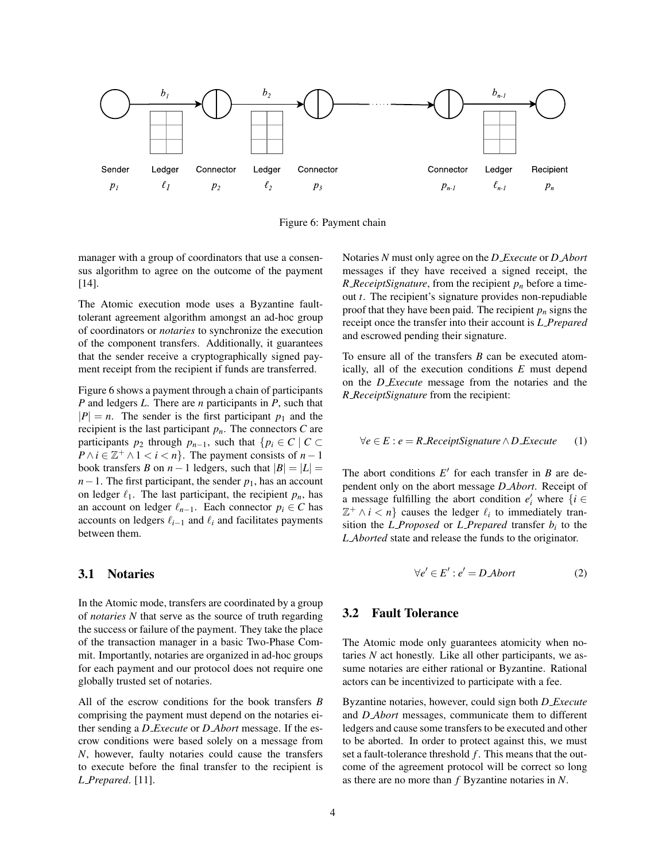

Figure 6: Payment chain

manager with a group of coordinators that use a consensus algorithm to agree on the outcome of the payment [14].

The Atomic execution mode uses a Byzantine faulttolerant agreement algorithm amongst an ad-hoc group of coordinators or *notaries* to synchronize the execution of the component transfers. Additionally, it guarantees that the sender receive a cryptographically signed payment receipt from the recipient if funds are transferred.

Figure 6 shows a payment through a chain of participants *P* and ledgers *L*. There are *n* participants in *P*, such that  $|P| = n$ . The sender is the first participant  $p_1$  and the recipient is the last participant  $p_n$ . The connectors  $C$  are participants  $p_2$  through  $p_{n-1}$ , such that  $\{p_i \in C \mid C \subset$  $P \wedge i \in \mathbb{Z}^+ \wedge 1 < i < n$ . The payment consists of *n* − 1 book transfers *B* on  $n-1$  ledgers, such that  $|B| = |L|$  $n-1$ . The first participant, the sender  $p_1$ , has an account on ledger  $\ell_1$ . The last participant, the recipient  $p_n$ , has an account on ledger  $\ell_{n-1}$ . Each connector  $p_i \in C$  has accounts on ledgers  $\ell_{i-1}$  and  $\ell_i$  and facilitates payments between them.

## 3.1 Notaries

In the Atomic mode, transfers are coordinated by a group of *notaries N* that serve as the source of truth regarding the success or failure of the payment. They take the place of the transaction manager in a basic Two-Phase Commit. Importantly, notaries are organized in ad-hoc groups for each payment and our protocol does not require one globally trusted set of notaries.

All of the escrow conditions for the book transfers *B* comprising the payment must depend on the notaries either sending a *D Execute* or *D Abort* message. If the escrow conditions were based solely on a message from *N*, however, faulty notaries could cause the transfers to execute before the final transfer to the recipient is *L Prepared*. [11].

Notaries *N* must only agree on the *D Execute* or *D Abort* messages if they have received a signed receipt, the *R ReceiptSignature*, from the recipient *p<sup>n</sup>* before a timeout *t*. The recipient's signature provides non-repudiable proof that they have been paid. The recipient  $p_n$  signs the receipt once the transfer into their account is *L Prepared* and escrowed pending their signature.

To ensure all of the transfers *B* can be executed atomically, all of the execution conditions *E* must depend on the *D Execute* message from the notaries and the *R ReceiptSignature* from the recipient:

$$
\forall e \in E : e = R \text{.} \text{ReceiptS} \text{!} \text{square} \land D \text{.} \text{E} \text{.} \text{value} \qquad (1)
$$

The abort conditions  $E'$  for each transfer in *B* are dependent only on the abort message *D Abort*. Receipt of a message fulfilling the abort condition  $e'_i$  where  $\{i \in$  $\mathbb{Z}^+ \wedge i < n$ } causes the ledger  $\ell_i$  to immediately transition the *L Proposed* or *L Prepared* transfer  $b_i$  to the *L Aborted* state and release the funds to the originator.

$$
\forall e' \in E': e' = D \text{Abort} \tag{2}
$$

## 3.2 Fault Tolerance

The Atomic mode only guarantees atomicity when notaries *N* act honestly. Like all other participants, we assume notaries are either rational or Byzantine. Rational actors can be incentivized to participate with a fee.

Byzantine notaries, however, could sign both *D Execute* and *D Abort* messages, communicate them to different ledgers and cause some transfers to be executed and other to be aborted. In order to protect against this, we must set a fault-tolerance threshold *f* . This means that the outcome of the agreement protocol will be correct so long as there are no more than *f* Byzantine notaries in *N*.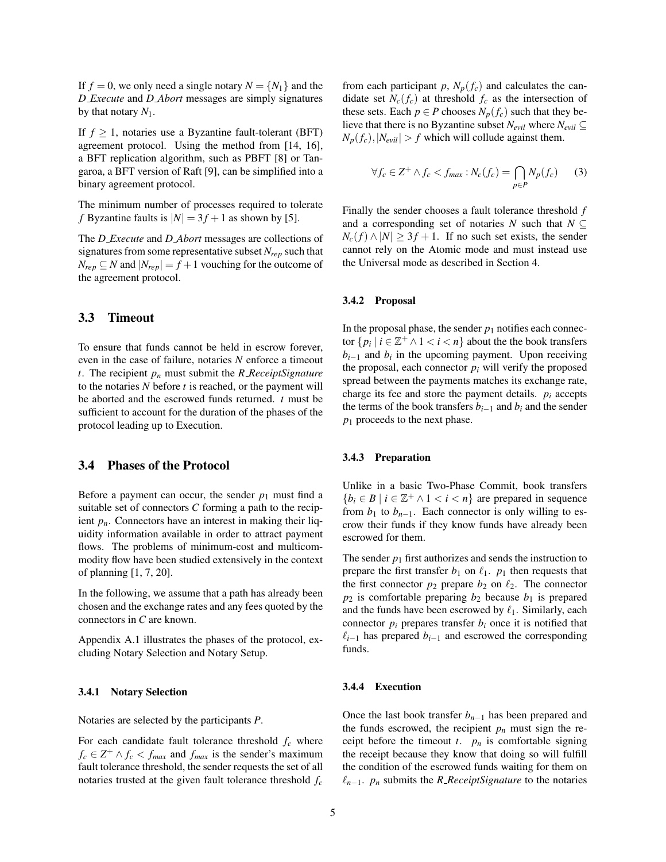If  $f = 0$ , we only need a single notary  $N = \{N_1\}$  and the *D Execute* and *D Abort* messages are simply signatures by that notary *N*1.

If  $f \geq 1$ , notaries use a Byzantine fault-tolerant (BFT) agreement protocol. Using the method from [14, 16], a BFT replication algorithm, such as PBFT [8] or Tangaroa, a BFT version of Raft [9], can be simplified into a binary agreement protocol.

The minimum number of processes required to tolerate *f* Byzantine faults is  $|N| = 3f + 1$  as shown by [5].

The *D Execute* and *D Abort* messages are collections of signatures from some representative subset *Nrep* such that  $N_{rep} \subseteq N$  and  $|N_{rep}| = f + 1$  vouching for the outcome of the agreement protocol.

## 3.3 Timeout

To ensure that funds cannot be held in escrow forever, even in the case of failure, notaries *N* enforce a timeout *t*. The recipient *p<sup>n</sup>* must submit the *R ReceiptSignature* to the notaries *N* before *t* is reached, or the payment will be aborted and the escrowed funds returned. *t* must be sufficient to account for the duration of the phases of the protocol leading up to Execution.

## 3.4 Phases of the Protocol

Before a payment can occur, the sender  $p_1$  must find a suitable set of connectors *C* forming a path to the recipient  $p_n$ . Connectors have an interest in making their liquidity information available in order to attract payment flows. The problems of minimum-cost and multicommodity flow have been studied extensively in the context of planning [1, 7, 20].

In the following, we assume that a path has already been chosen and the exchange rates and any fees quoted by the connectors in *C* are known.

Appendix A.1 illustrates the phases of the protocol, excluding Notary Selection and Notary Setup.

#### 3.4.1 Notary Selection

Notaries are selected by the participants *P*.

For each candidate fault tolerance threshold  $f_c$  where  $f_c \in \mathbb{Z}^+ \wedge f_c < f_{max}$  and  $f_{max}$  is the sender's maximum fault tolerance threshold, the sender requests the set of all notaries trusted at the given fault tolerance threshold *f<sup>c</sup>* from each participant  $p$ ,  $N_p(f_c)$  and calculates the candidate set  $N_c(f_c)$  at threshold  $f_c$  as the intersection of these sets. Each  $p \in P$  chooses  $N_p(f_c)$  such that they believe that there is no Byzantine subset  $N_{evil}$  where  $N_{evil} \subseteq$  $N_p(f_c)$ ,  $|N_{\text{eval}}| > f$  which will collude against them.

$$
\forall f_c \in \mathbb{Z}^+ \land f_c < f_{\text{max}} : N_c(f_c) = \bigcap_{p \in P} N_p(f_c) \tag{3}
$$

Finally the sender chooses a fault tolerance threshold *f* and a corresponding set of notaries *N* such that  $N \subseteq$  $N_c(f) \wedge |N| \geq 3f + 1$ . If no such set exists, the sender cannot rely on the Atomic mode and must instead use the Universal mode as described in Section 4.

#### 3.4.2 Proposal

In the proposal phase, the sender  $p_1$  notifies each connector  $\{p_i \mid i \in \mathbb{Z}^+ \land 1 < i < n\}$  about the the book transfers  $b_{i-1}$  and  $b_i$  in the upcoming payment. Upon receiving the proposal, each connector  $p_i$  will verify the proposed spread between the payments matches its exchange rate, charge its fee and store the payment details.  $p_i$  accepts the terms of the book transfers  $b_{i-1}$  and  $b_i$  and the sender *p*<sub>1</sub> proceeds to the next phase.

#### 3.4.3 Preparation

Unlike in a basic Two-Phase Commit, book transfers  ${b_i \in B \mid i \in \mathbb{Z}^+ \land 1 < i < n}$  are prepared in sequence from  $b_1$  to  $b_{n-1}$ . Each connector is only willing to escrow their funds if they know funds have already been escrowed for them.

The sender  $p_1$  first authorizes and sends the instruction to prepare the first transfer  $b_1$  on  $\ell_1$ .  $p_1$  then requests that the first connector  $p_2$  prepare  $b_2$  on  $\ell_2$ . The connector  $p_2$  is comfortable preparing  $b_2$  because  $b_1$  is prepared and the funds have been escrowed by  $\ell_1$ . Similarly, each connector  $p_i$  prepares transfer  $b_i$  once it is notified that  $\ell_{i-1}$  has prepared *b*<sub>*i*−1</sub> and escrowed the corresponding funds.

#### 3.4.4 Execution

Once the last book transfer *bn*−<sup>1</sup> has been prepared and the funds escrowed, the recipient  $p_n$  must sign the receipt before the timeout  $t$ .  $p_n$  is comfortable signing the receipt because they know that doing so will fulfill the condition of the escrowed funds waiting for them on  $\ell_{n-1}$ . *p<sub>n</sub>* submits the *R\_ReceiptSignature* to the notaries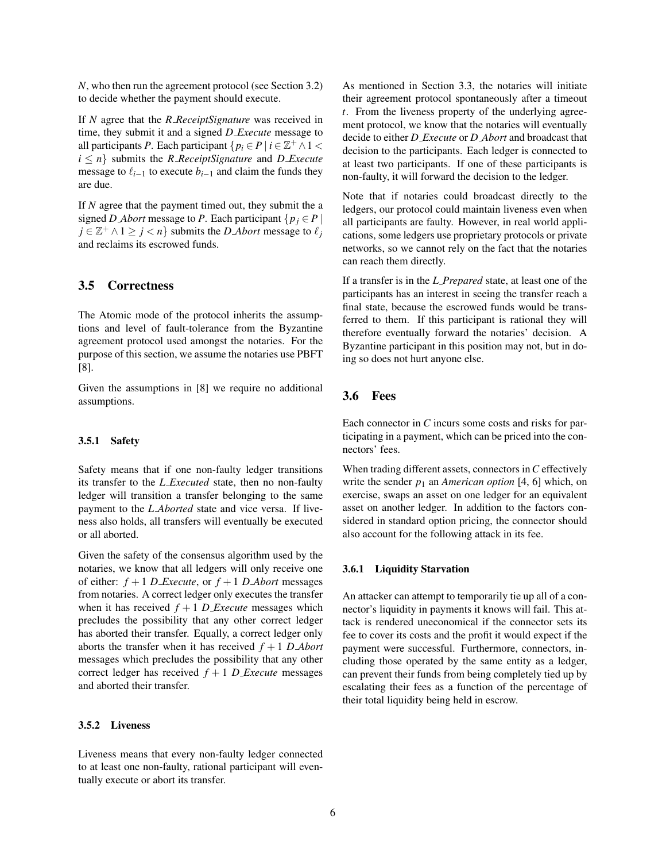*N*, who then run the agreement protocol (see Section 3.2) to decide whether the payment should execute.

If *N* agree that the *R ReceiptSignature* was received in time, they submit it and a signed *D Execute* message to all participants *P*. Each participant  $\{p_i \in P \mid i \in \mathbb{Z}^+ \land 1 \leq \emptyset\}$  $i \leq n$  submits the *R ReceiptSignature* and *D Execute* message to  $\ell_{i-1}$  to execute  $b_{i-1}$  and claim the funds they are due.

If *N* agree that the payment timed out, they submit the a signed *D Abort* message to *P*. Each participant  $\{p_i \in P \}$  $j \in \mathbb{Z}^+ \land 1 \geq j < n$ } submits the *D Abort* message to  $\ell_j$ and reclaims its escrowed funds.

### 3.5 Correctness

The Atomic mode of the protocol inherits the assumptions and level of fault-tolerance from the Byzantine agreement protocol used amongst the notaries. For the purpose of this section, we assume the notaries use PBFT [8].

Given the assumptions in [8] we require no additional assumptions.

#### 3.5.1 Safety

Safety means that if one non-faulty ledger transitions its transfer to the *L Executed* state, then no non-faulty ledger will transition a transfer belonging to the same payment to the *L Aborted* state and vice versa. If liveness also holds, all transfers will eventually be executed or all aborted.

Given the safety of the consensus algorithm used by the notaries, we know that all ledgers will only receive one of either:  $f + 1$  *D Execute*, or  $f + 1$  *D Abort* messages from notaries. A correct ledger only executes the transfer when it has received  $f + 1$  *D Execute* messages which precludes the possibility that any other correct ledger has aborted their transfer. Equally, a correct ledger only aborts the transfer when it has received  $f + 1$  *D Abort* messages which precludes the possibility that any other correct ledger has received  $f + 1$  *D\_Execute* messages and aborted their transfer.

### 3.5.2 Liveness

Liveness means that every non-faulty ledger connected to at least one non-faulty, rational participant will eventually execute or abort its transfer.

As mentioned in Section 3.3, the notaries will initiate their agreement protocol spontaneously after a timeout *t*. From the liveness property of the underlying agreement protocol, we know that the notaries will eventually decide to either *D Execute* or *D Abort* and broadcast that decision to the participants. Each ledger is connected to at least two participants. If one of these participants is non-faulty, it will forward the decision to the ledger.

Note that if notaries could broadcast directly to the ledgers, our protocol could maintain liveness even when all participants are faulty. However, in real world applications, some ledgers use proprietary protocols or private networks, so we cannot rely on the fact that the notaries can reach them directly.

If a transfer is in the *L Prepared* state, at least one of the participants has an interest in seeing the transfer reach a final state, because the escrowed funds would be transferred to them. If this participant is rational they will therefore eventually forward the notaries' decision. A Byzantine participant in this position may not, but in doing so does not hurt anyone else.

## 3.6 Fees

Each connector in *C* incurs some costs and risks for participating in a payment, which can be priced into the connectors' fees.

When trading different assets, connectors in*C* effectively write the sender  $p_1$  an *American option* [4, 6] which, on exercise, swaps an asset on one ledger for an equivalent asset on another ledger. In addition to the factors considered in standard option pricing, the connector should also account for the following attack in its fee.

#### 3.6.1 Liquidity Starvation

An attacker can attempt to temporarily tie up all of a connector's liquidity in payments it knows will fail. This attack is rendered uneconomical if the connector sets its fee to cover its costs and the profit it would expect if the payment were successful. Furthermore, connectors, including those operated by the same entity as a ledger, can prevent their funds from being completely tied up by escalating their fees as a function of the percentage of their total liquidity being held in escrow.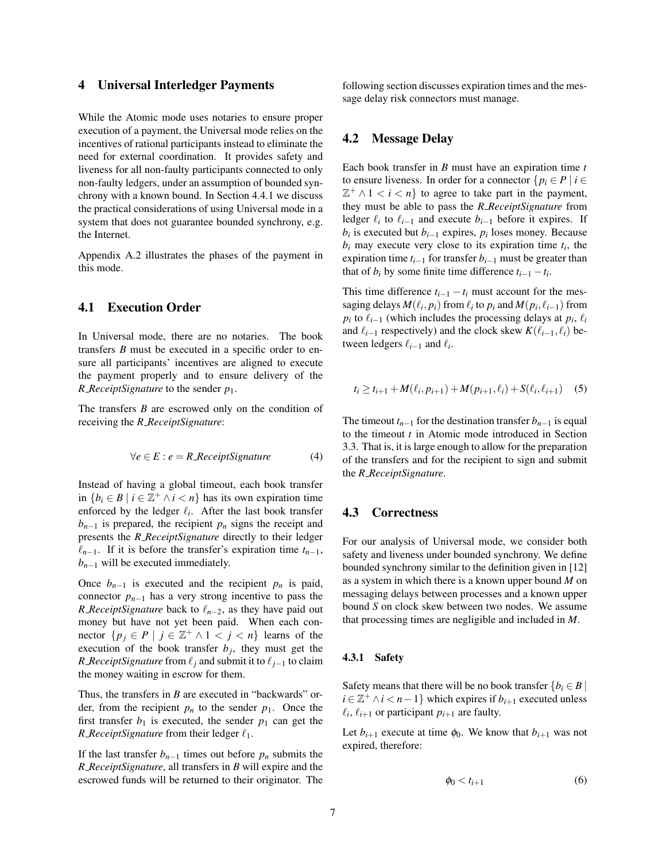## 4 Universal Interledger Payments

While the Atomic mode uses notaries to ensure proper execution of a payment, the Universal mode relies on the incentives of rational participants instead to eliminate the need for external coordination. It provides safety and liveness for all non-faulty participants connected to only non-faulty ledgers, under an assumption of bounded synchrony with a known bound. In Section 4.4.1 we discuss the practical considerations of using Universal mode in a system that does not guarantee bounded synchrony, e.g. the Internet.

Appendix A.2 illustrates the phases of the payment in this mode.

## 4.1 Execution Order

In Universal mode, there are no notaries. The book transfers *B* must be executed in a specific order to ensure all participants' incentives are aligned to execute the payment properly and to ensure delivery of the *R ReceiptSignature* to the sender *p*1.

The transfers *B* are escrowed only on the condition of receiving the *R ReceiptSignature*:

$$
\forall e \in E : e = R \text{.} \text{ReceiptS} \text{ is a } (4)
$$

Instead of having a global timeout, each book transfer in { $b_i$  ∈ *B* | *i* ∈  $\mathbb{Z}^+$  ∧ *i* < *n*} has its own expiration time enforced by the ledger  $\ell_i$ . After the last book transfer  $b_{n-1}$  is prepared, the recipient  $p_n$  signs the receipt and presents the *R ReceiptSignature* directly to their ledger  $\ell_{n-1}$ . If it is before the transfer's expiration time  $t_{n-1}$ ,  $b_{n-1}$  will be executed immediately.

Once  $b_{n-1}$  is executed and the recipient  $p_n$  is paid, connector  $p_{n-1}$  has a very strong incentive to pass the *R ReceiptSignature* back to  $\ell_{n-2}$ , as they have paid out money but have not yet been paid. When each connector  $\{p_j \in P \mid j \in \mathbb{Z}^+ \land 1 < j < n\}$  learns of the execution of the book transfer  $b_j$ , they must get the *R ReceiptSignature* from  $\ell_j$  and submit it to  $\ell_{j-1}$  to claim the money waiting in escrow for them.

Thus, the transfers in *B* are executed in "backwards" order, from the recipient  $p_n$  to the sender  $p_1$ . Once the first transfer  $b_1$  is executed, the sender  $p_1$  can get the *R ReceiptSignature* from their ledger  $\ell_1$ .

If the last transfer  $b_{n-1}$  times out before  $p_n$  submits the *R ReceiptSignature*, all transfers in *B* will expire and the escrowed funds will be returned to their originator. The following section discusses expiration times and the message delay risk connectors must manage.

## 4.2 Message Delay

Each book transfer in *B* must have an expiration time *t* to ensure liveness. In order for a connector  $\{p_i \in P \mid i \in$  $\mathbb{Z}^+ \wedge 1 < i < n$ } to agree to take part in the payment, they must be able to pass the *R ReceiptSignature* from ledger  $\ell_i$  to  $\ell_{i-1}$  and execute  $b_{i-1}$  before it expires. If  $b_i$  is executed but  $b_{i-1}$  expires,  $p_i$  loses money. Because  $b_i$  may execute very close to its expiration time  $t_i$ , the expiration time  $t_{i-1}$  for transfer  $b_{i-1}$  must be greater than that of  $b_i$  by some finite time difference  $t_{i-1} - t_i$ .

This time difference  $t_{i-1} - t_i$  must account for the messaging delays  $M(\ell_i, p_i)$  from  $\ell_i$  to  $p_i$  and  $M(p_i, \ell_{i-1})$  from  $p_i$  to  $\ell_{i-1}$  (which includes the processing delays at  $p_i$ ,  $\ell_i$ and  $\ell_{i-1}$  respectively) and the clock skew  $K(\ell_{i-1}, \ell_i)$  between ledgers  $\ell_{i-1}$  and  $\ell_i$ .

$$
t_i \ge t_{i+1} + M(\ell_i, p_{i+1}) + M(p_{i+1}, \ell_i) + S(\ell_i, \ell_{i+1}) \quad (5)
$$

The timeout  $t_{n-1}$  for the destination transfer  $b_{n-1}$  is equal to the timeout *t* in Atomic mode introduced in Section 3.3. That is, it is large enough to allow for the preparation of the transfers and for the recipient to sign and submit the *R ReceiptSignature*.

## 4.3 Correctness

For our analysis of Universal mode, we consider both safety and liveness under bounded synchrony. We define bounded synchrony similar to the definition given in [12] as a system in which there is a known upper bound *M* on messaging delays between processes and a known upper bound *S* on clock skew between two nodes. We assume that processing times are negligible and included in *M*.

#### 4.3.1 Safety

Safety means that there will be no book transfer  ${b_i \in B \mid \mathbf{A} \in B}$  $i \in \mathbb{Z}^+ \land i < n - 1$ } which expires if  $b_{i+1}$  executed unless  $\ell_i$ ,  $\ell_{i+1}$  or participant  $p_{i+1}$  are faulty.

Let  $b_{i+1}$  execute at time  $\phi_0$ . We know that  $b_{i+1}$  was not expired, therefore:

$$
\phi_0 < t_{i+1} \tag{6}
$$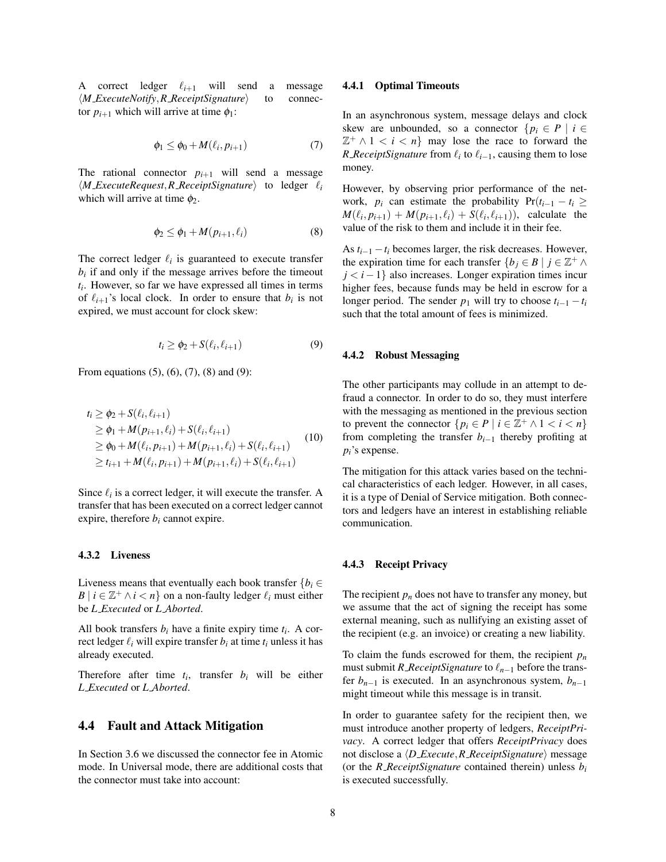A correct ledger  $\ell_{i+1}$  will send a message  $\langle M$  *ExecuteNotify*, *R ReceiptSignature* to connector  $p_{i+1}$  which will arrive at time  $\phi_1$ :

$$
\phi_1 \le \phi_0 + M(\ell_i, p_{i+1}) \tag{7}
$$

The rational connector  $p_{i+1}$  will send a message  $\langle M \_ ExecuteRequest, R \_ ReceiptSignature \rangle$  to ledger  $\ell_i$ which will arrive at time  $\phi_2$ .

$$
\phi_2 \le \phi_1 + M(p_{i+1}, \ell_i) \tag{8}
$$

The correct ledger  $\ell_i$  is guaranteed to execute transfer  $b_i$  if and only if the message arrives before the timeout *ti* . However, so far we have expressed all times in terms of  $\ell_{i+1}$ 's local clock. In order to ensure that  $b_i$  is not expired, we must account for clock skew:

$$
t_i \ge \phi_2 + S(\ell_i, \ell_{i+1}) \tag{9}
$$

From equations (5), (6), (7), (8) and (9):

$$
t_i \geq \phi_2 + S(\ell_i, \ell_{i+1})
$$
  
\n
$$
\geq \phi_1 + M(p_{i+1}, \ell_i) + S(\ell_i, \ell_{i+1})
$$
  
\n
$$
\geq \phi_0 + M(\ell_i, p_{i+1}) + M(p_{i+1}, \ell_i) + S(\ell_i, \ell_{i+1})
$$
  
\n
$$
\geq t_{i+1} + M(\ell_i, p_{i+1}) + M(p_{i+1}, \ell_i) + S(\ell_i, \ell_{i+1})
$$
 (10)

Since  $\ell_i$  is a correct ledger, it will execute the transfer. A transfer that has been executed on a correct ledger cannot expire, therefore  $b_i$  cannot expire.

#### 4.3.2 Liveness

Liveness means that eventually each book transfer  ${b_i \in \mathbb{R}^d}$  $B \mid i \in \mathbb{Z}^+ \land i < n$ } on a non-faulty ledger  $\ell_i$  must either be *L Executed* or *L Aborted*.

All book transfers  $b_i$  have a finite expiry time  $t_i$ . A correct ledger  $\ell_i$  will expire transfer  $b_i$  at time  $t_i$  unless it has already executed.

Therefore after time  $t_i$ , transfer  $b_i$  will be either *L Executed* or *L Aborted*.

#### 4.4 Fault and Attack Mitigation

In Section 3.6 we discussed the connector fee in Atomic mode. In Universal mode, there are additional costs that the connector must take into account:

#### 4.4.1 Optimal Timeouts

In an asynchronous system, message delays and clock skew are unbounded, so a connector  $\{p_i \in P \mid i \in$  $\mathbb{Z}^+ \wedge 1 < i < n$ } may lose the race to forward the *R\_ReceiptSignature* from  $\ell_i$  to  $\ell_{i-1}$ , causing them to lose money.

However, by observing prior performance of the network,  $p_i$  can estimate the probability  $Pr(t_{i-1} - t_i \geq 1)$  $M(\ell_i, p_{i+1}) + M(p_{i+1}, \ell_i) + S(\ell_i, \ell_{i+1}),$  calculate the value of the risk to them and include it in their fee.

As  $t_{i-1} - t_i$  becomes larger, the risk decreases. However, the expiration time for each transfer  $\{b_j \in B \mid j \in \mathbb{Z}^+ \land$ *j* < *i* − 1} also increases. Longer expiration times incur higher fees, because funds may be held in escrow for a longer period. The sender  $p_1$  will try to choose  $t_{i-1} - t_i$ such that the total amount of fees is minimized.

#### 4.4.2 Robust Messaging

The other participants may collude in an attempt to defraud a connector. In order to do so, they must interfere with the messaging as mentioned in the previous section to prevent the connector  $\{p_i \in P \mid i \in \mathbb{Z}^+ \land 1 < i < n\}$ from completing the transfer  $b_{i-1}$  thereby profiting at *pi*'s expense.

The mitigation for this attack varies based on the technical characteristics of each ledger. However, in all cases, it is a type of Denial of Service mitigation. Both connectors and ledgers have an interest in establishing reliable communication.

#### 4.4.3 Receipt Privacy

The recipient  $p_n$  does not have to transfer any money, but we assume that the act of signing the receipt has some external meaning, such as nullifying an existing asset of the recipient (e.g. an invoice) or creating a new liability.

To claim the funds escrowed for them, the recipient  $p_n$ must submit *R ReceiptSignature* to  $\ell_{n-1}$  before the transfer  $b_{n-1}$  is executed. In an asynchronous system,  $b_{n-1}$ might timeout while this message is in transit.

In order to guarantee safety for the recipient then, we must introduce another property of ledgers, *ReceiptPrivacy*. A correct ledger that offers *ReceiptPrivacy* does not disclose a  $\langle D$  *Execute*, *R ReceiptSignature* $\rangle$  message (or the *R ReceiptSignature* contained therein) unless  $b_i$ is executed successfully.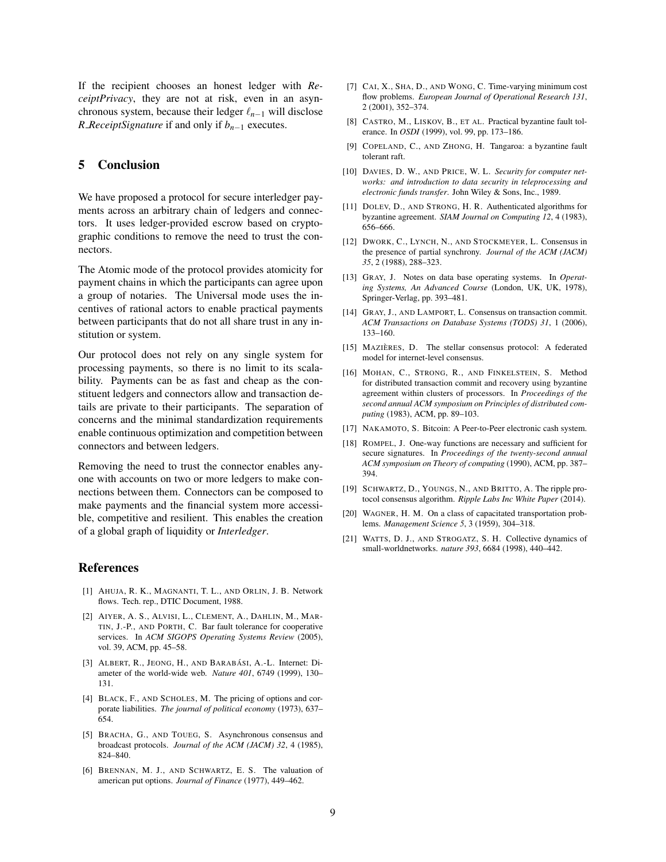If the recipient chooses an honest ledger with *ReceiptPrivacy*, they are not at risk, even in an asynchronous system, because their ledger  $\ell_{n-1}$  will disclose *R ReceiptSignature* if and only if *bn*−<sup>1</sup> executes.

# 5 Conclusion

We have proposed a protocol for secure interledger payments across an arbitrary chain of ledgers and connectors. It uses ledger-provided escrow based on cryptographic conditions to remove the need to trust the connectors.

The Atomic mode of the protocol provides atomicity for payment chains in which the participants can agree upon a group of notaries. The Universal mode uses the incentives of rational actors to enable practical payments between participants that do not all share trust in any institution or system.

Our protocol does not rely on any single system for processing payments, so there is no limit to its scalability. Payments can be as fast and cheap as the constituent ledgers and connectors allow and transaction details are private to their participants. The separation of concerns and the minimal standardization requirements enable continuous optimization and competition between connectors and between ledgers.

Removing the need to trust the connector enables anyone with accounts on two or more ledgers to make connections between them. Connectors can be composed to make payments and the financial system more accessible, competitive and resilient. This enables the creation of a global graph of liquidity or *Interledger*.

## References

- [1] AHUJA, R. K., MAGNANTI, T. L., AND ORLIN, J. B. Network flows. Tech. rep., DTIC Document, 1988.
- [2] AIYER, A. S., ALVISI, L., CLEMENT, A., DAHLIN, M., MAR-TIN, J.-P., AND PORTH, C. Bar fault tolerance for cooperative services. In *ACM SIGOPS Operating Systems Review* (2005), vol. 39, ACM, pp. 45–58.
- [3] ALBERT, R., JEONG, H., AND BARABÁSI, A.-L. Internet: Diameter of the world-wide web. *Nature 401*, 6749 (1999), 130– 131.
- [4] BLACK, F., AND SCHOLES, M. The pricing of options and corporate liabilities. *The journal of political economy* (1973), 637– 654.
- [5] BRACHA, G., AND TOUEG, S. Asynchronous consensus and broadcast protocols. *Journal of the ACM (JACM) 32*, 4 (1985), 824–840.
- [6] BRENNAN, M. J., AND SCHWARTZ, E. S. The valuation of american put options. *Journal of Finance* (1977), 449–462.
- [7] CAI, X., SHA, D., AND WONG, C. Time-varying minimum cost flow problems. *European Journal of Operational Research 131*, 2 (2001), 352–374.
- [8] CASTRO, M., LISKOV, B., ET AL. Practical byzantine fault tolerance. In *OSDI* (1999), vol. 99, pp. 173–186.
- [9] COPELAND, C., AND ZHONG, H. Tangaroa: a byzantine fault tolerant raft.
- [10] DAVIES, D. W., AND PRICE, W. L. *Security for computer networks: and introduction to data security in teleprocessing and electronic funds transfer*. John Wiley & Sons, Inc., 1989.
- [11] DOLEV, D., AND STRONG, H. R. Authenticated algorithms for byzantine agreement. *SIAM Journal on Computing 12*, 4 (1983), 656–666.
- [12] DWORK, C., LYNCH, N., AND STOCKMEYER, L. Consensus in the presence of partial synchrony. *Journal of the ACM (JACM) 35*, 2 (1988), 288–323.
- [13] GRAY, J. Notes on data base operating systems. In *Operating Systems, An Advanced Course* (London, UK, UK, 1978), Springer-Verlag, pp. 393–481.
- [14] GRAY, J., AND LAMPORT, L. Consensus on transaction commit. *ACM Transactions on Database Systems (TODS) 31*, 1 (2006), 133–160.
- [15] MAZIÈRES, D. The stellar consensus protocol: A federated model for internet-level consensus.
- [16] MOHAN, C., STRONG, R., AND FINKELSTEIN, S. Method for distributed transaction commit and recovery using byzantine agreement within clusters of processors. In *Proceedings of the second annual ACM symposium on Principles of distributed computing* (1983), ACM, pp. 89–103.
- [17] NAKAMOTO, S. Bitcoin: A Peer-to-Peer electronic cash system.
- [18] ROMPEL, J. One-way functions are necessary and sufficient for secure signatures. In *Proceedings of the twenty-second annual ACM symposium on Theory of computing* (1990), ACM, pp. 387– 394.
- [19] SCHWARTZ, D., YOUNGS, N., AND BRITTO, A. The ripple protocol consensus algorithm. *Ripple Labs Inc White Paper* (2014).
- [20] WAGNER, H. M. On a class of capacitated transportation problems. *Management Science 5*, 3 (1959), 304–318.
- [21] WATTS, D. J., AND STROGATZ, S. H. Collective dynamics of small-worldnetworks. *nature 393*, 6684 (1998), 440–442.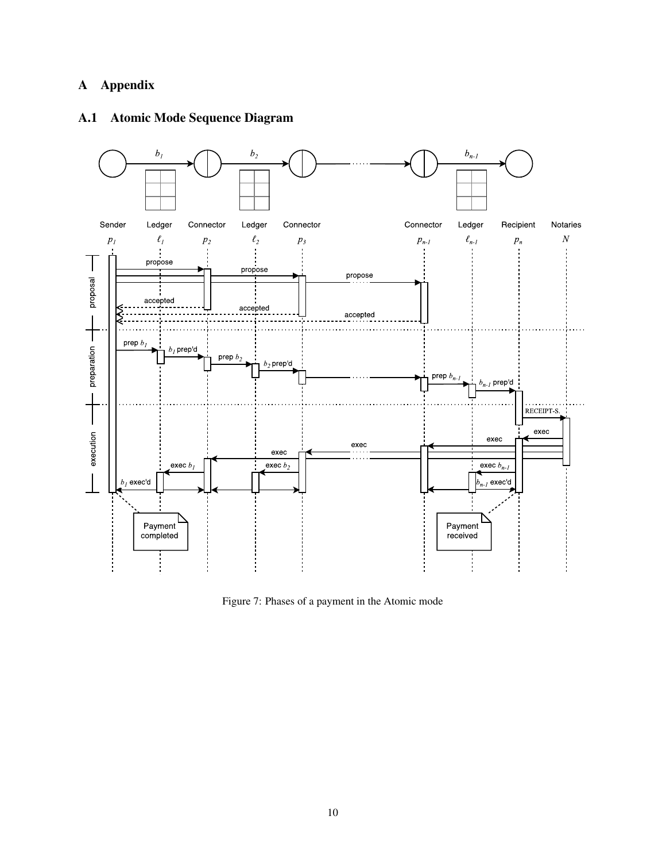# A Appendix

# A.1 Atomic Mode Sequence Diagram



Figure 7: Phases of a payment in the Atomic mode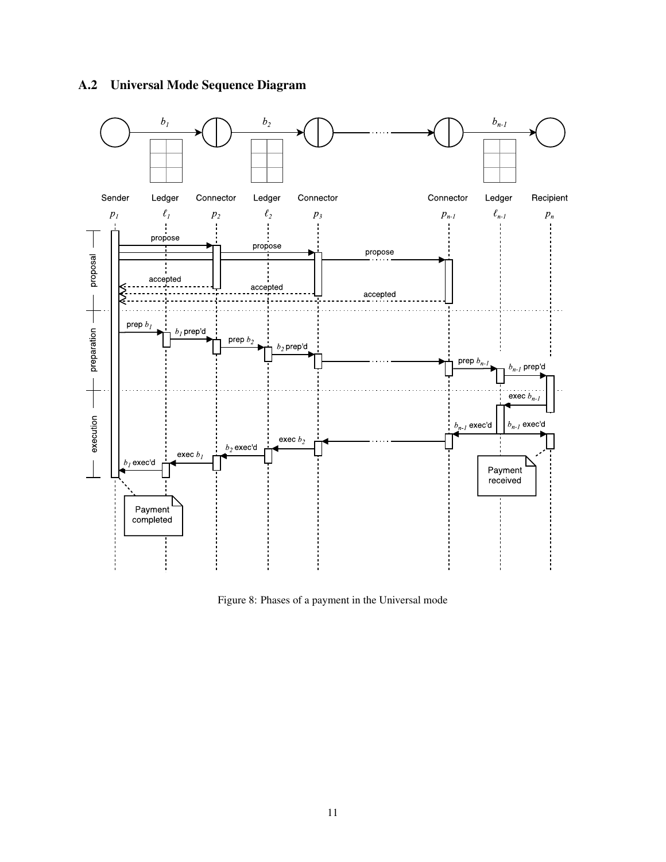# A.2 Universal Mode Sequence Diagram



Figure 8: Phases of a payment in the Universal mode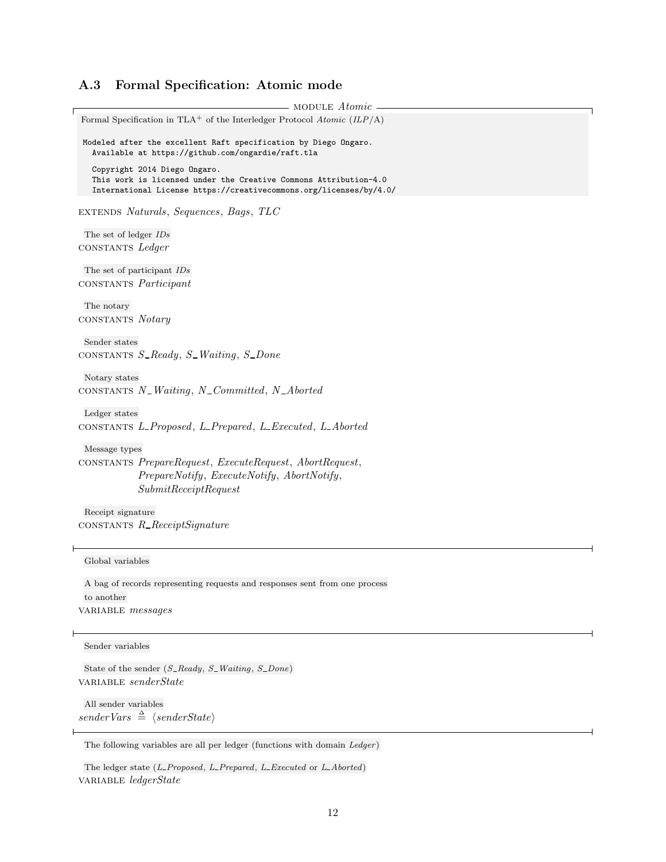# A.3 Formal Specification: Atomic mode

```
MODULE Atomic
Formal Specification in TLA<sup>+</sup> of the Interledger Protocol Atomic (ILP/A)
Modeled after the excellent Raft specification by Diego Ongaro.
  Available at https://github.com/ongardie/raft.tla
  Copyright 2014 Diego Ongaro.
  This work is licensed under the Creative Commons Attribution-4.0
  International License https://creativecommons.org/licenses/by/4.0/
extends Naturals, Sequences, Bags, TLC
 The set of ledger IDs
constants Ledger
 The set of participant IDs
constants Participant
 The notary
constants Notary
 Sender states
CONSTANTS S-Ready, S-Waiting, S-Done
 Notary states
CONSTANTS N_W-Waiting, N_Committed, N_Aborted
 Ledger states
constants L Proposed, L Prepared, L Executed, L Aborted
 Message types
constants PrepareRequest, ExecuteRequest, AbortRequest,
            PrepareNotify, ExecuteNotify, AbortNotify,
            SubmitReceiptRequest
 Receipt signature
\cosTANTS R<sub>-Receipt</sub>Signature
 Global variables
 A bag of records representing requests and responses sent from one process
 to another
VARIABLE messages
 Sender variables
 State of the sender (S\_Ready, S\_Waiting, S\_Done)variable senderState
```
All sender variables  $senderVars \triangleq \langle senderState\rangle$ 

The following variables are all per ledger (functions with domain Ledger)

The ledger state  $(L\_Proposed, L\_Prepared, L\_Executed \text{ or } L\_Aborted)$ VARIABLE ledgerState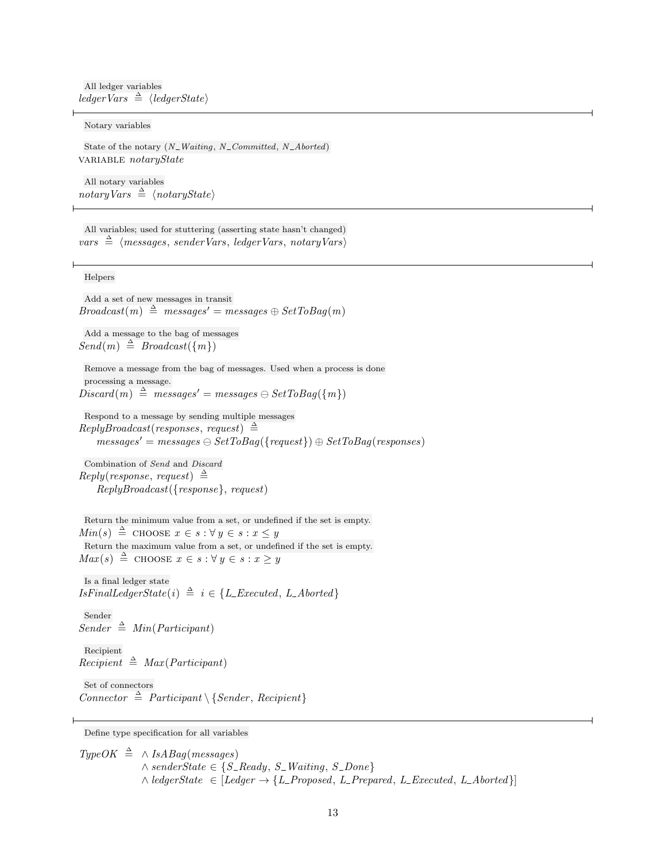All ledger variables  $\textit{ledgerVars} \triangleq \textit{ledgerState}$ 

#### Notary variables

State of the notary  $(N_$  Waiting, N\_Committed, N\_Aborted) VARIABLE notaryState

All notary variables  $notaryVars \triangleq \langle notaryState\rangle$ 

All variables; used for stuttering (asserting state hasn't changed)  $vars \triangleq \langle messages, senderVars, ledgerVars, notaryVars \rangle$ 

#### Helpers

Add a set of new messages in transit  $Broadcast(m) \triangleq messages' = messages \oplus SetToBag(m)$ 

Add a message to the bag of messages  $Send(m) \triangleq Broadcast(\lbrace m \rbrace)$ 

Remove a message from the bag of messages. Used when a process is done processing a message.  $Discard(m) \triangleq messages' = messages \ominus SetToBag(\lbrace m \rbrace)$ 

Respond to a message by sending multiple messages  $Reply Broadcasting (responses, request) \triangleq$  $messages' = messages \ominus SetToBag(\{request\}) \oplus SetToBag(resposes)$ 

Combination of Send and Discard  $Reply (response, request) \triangleq$ ReplyBroadcast({response}, request)

Return the minimum value from a set, or undefined if the set is empty.  $Min(s) \triangleq$  choose  $x \in s : \forall y \in s : x \leq y$ Return the maximum value from a set, or undefined if the set is empty.  $Max(s) \triangleq$  choose  $x \in s : \forall y \in s : x \geq y$ 

Is a final ledger state  $IsFinalLedgerState(i) \triangleq i \in \{L\_Executed, L\_Aborted\}$ 

Sender  $Sender \triangleq Min(Participant)$ Recipient  $Recipient \triangleq Max (Participation)$ 

Set of connectors Connector  $\triangleq$  Participant \ { Sender, Recipient }

Define type specification for all variables

 $TypeOK \triangleq \wedge IsABag(messages)$  $\land senderState \in \{S\_Ready, S\_Waiting, S\_Done\}$  $\land$  ledgerState  $\in$  [Ledger  $\rightarrow$  {L\_Proposed, L\_Prepared, L\_Executed, L\_Aborted}]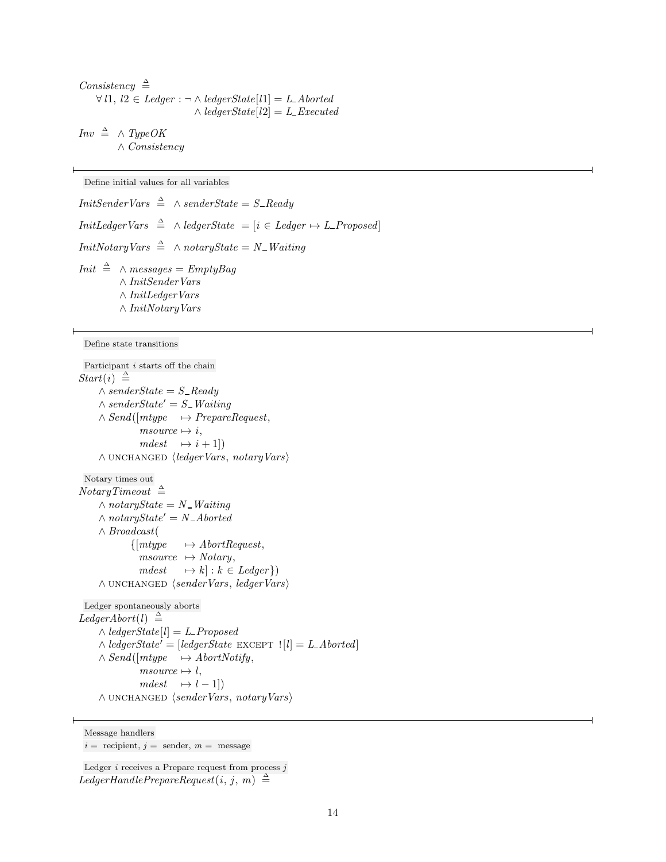Consistency  $\triangleq$  $\forall l1, l2 \in \text{Ledger} : \neg \land \text{ledgerState}[l1] = \text{L-}\text{Aborted}$  $\wedge$  ledgerState[l2] = L\_Executed

 $Inv \triangleq \wedge TypeOK$ ∧ Consistency

Define initial values for all variables

*InitSenderVars*  $\triangleq$  ∧ *senderState* = S\_Ready  $Init LederVars \triangleq \wedge ledgerState = [i \in Ledge \rightarrow L\_Proposed]$  $InitNotaryVars \triangleq \wedge notaryState = N_$  Waiting *Init*  $\stackrel{\Delta}{=} \wedge messages = EmptyBag$ ∧ InitSenderVars ∧ InitLedgerVars ∧ InitNotaryVars

Define state transitions

```
Participant i starts off the chain
Start(i) \triangleq\wedge senderState = S_Ready
     \wedge senderState' = S_Waiting
    \land Send([mtype \rightarrow PrepareRequest,
               msource \mapsto i,mdest \rightarrow i + 1]\land UNCHANGED \langle ledger Vars, notary Vars\rangleNotary times out
NotaryTimeout \triangleq\wedge notaryState = N_Waiting
     \wedge notaryState' = N_Aborted
    ∧ Broadcast(
             {[mtype \rightarrow AbortRequest,]}msource \rightarrow Notary,mdest \longrightarrow k] : k \in Ledger\})\land UNCHANGED \langle senderVars, \text{led}gerVars \rangleLedger spontaneously aborts
Legendor (l) \triangleq\wedge ledgerState[l] = L_Proposed
     \wedge ledgerState' = [ledgerState EXCEPT |l| = L Aborted]
     \land Send([mtype \rightarrow AbortNotify,
               msource \mapsto l,mdest \rightarrow l - 1\land UNCHANGED \langle senderVars, notaryVars \rangle
```
Message handlers

 $i =$  recipient,  $j =$  sender,  $m =$  message

Ledger  $i$  receives a Prepare request from process  $j$ LedgerHandlePrepareRequest $(i, j, m) \triangleq$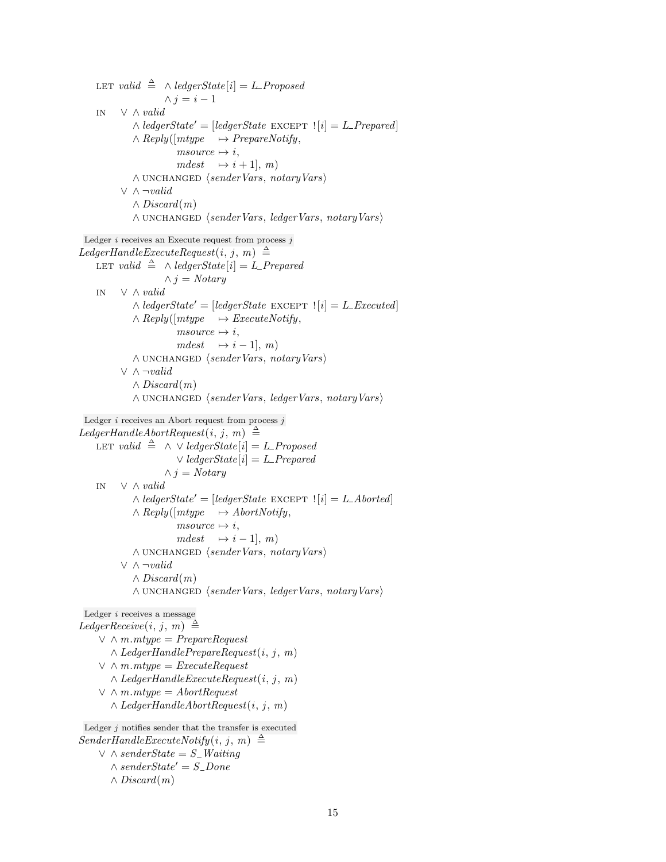LET valid  $\triangleq \wedge$  ledgerState[i] = L\_Proposed  $\wedge j = i - 1$ in ∨ ∧ valid  $\wedge$  ledgerState' = [ledgerState EXCEPT  $|i| = L$  Prepared]  $\land$  Reply([mtype  $\rightarrow$  PrepareNotify,  $msource \mapsto i,$  $mdest \rightarrow i + 1, m$  $\land$  UNCHANGED  $\langle senderVars, notaryVars \rangle$  $\vee$   $\wedge \neg valid$  $\wedge$  Discard $(m)$  $\land$  UNCHANGED  $\langle senderVars, ledgerVars, notaryVars \rangle$ Ledger  $i$  receives an Execute request from process  $j$  $LegendleExecuteRequest(i, j, m) \triangleq$ LET valid  $\triangleq \wedge$  ledgerState[i] = L\_Prepared  $\wedge$  j = Notary in ∨ ∧ valid  $\wedge$  ledgerState' = [ledgerState EXCEPT  $|i| = L$  Executed]  $\land$  Reply([mtype  $\rightarrow$  ExecuteNotify,  $msource \mapsto i$ ,  $mdest \rightarrow i - 1, m$ ∧ unchanged hsenderVars, notaryVarsi  $\vee \wedge \neg valid$  $\wedge$  Discard $(m)$  $\land$  UNCHANGED  $\langle senderVars, ledgerVars, notaryVars \rangle$ Ledger  $i$  receives an Abort request from process  $j$ LedgerHandleAbortRequest $(i, j, m) \triangleq$ LET valid  $\triangleq \wedge \vee$  ledgerState[i] = L\_Proposed  $\vee$  ledgerState[i] = L\_Prepared  $\land j = Notary$ in ∨ ∧ valid  $\wedge$  ledgerState' = [ledgerState EXCEPT  $|i| = L$  Aborted]  $\land$  Reply( $[mype \rightarrow AbortNotify,$  $msource \mapsto i$ ,  $mdest \rightarrow i - 1, m$ ∧ unchanged hsenderVars, notaryVarsi ∨ ∧ ¬valid  $\wedge$  Discard $(m)$ ∧ unchanged hsenderVars, ledgerVars, notaryVarsi Ledger i receives a message LedgerReceive $(i, j, m) \triangleq$  $\vee$   $\wedge$  *m.mtype* = *PrepareRequest*  $\wedge$  *LedgerHandlePrepareRequest* $(i, j, m)$  $\vee$   $\wedge$  *m.mtype* = *ExecuteRequest*  $\land$  LedgerHandleExecuteRequest $(i, j, m)$  $\vee$   $\wedge$  *m.mtype* = *AbortRequest*  $\wedge$  *LedgerHandleAbortRequest* $(i, j, m)$ Ledger  $j$  notifies sender that the transfer is executed  $SenderHandleExecuteNotify(i, j, m) \triangleq$  $\vee\,$   $\wedge$   ${senderState}$   $=$   $S$   $\_Waiting$ 

 $\wedge$  senderState' = S\_Done  $\wedge$  *Discard* $(m)$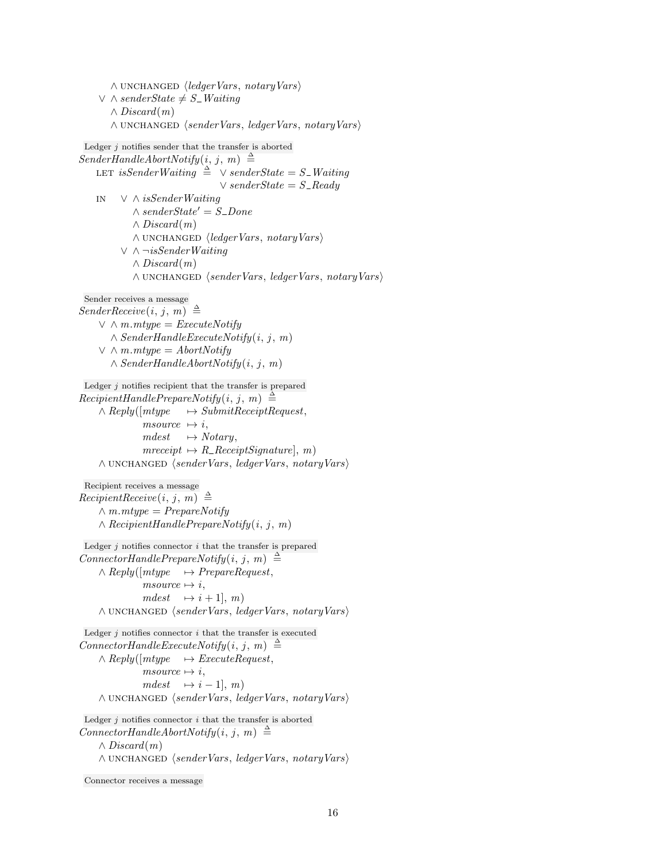$\land$  UNCHANGED  $\langle$  ledger Vars, notary Vars $\rangle$  $∨ ∧ senderState ≠ S_$ *Waiting*  $\wedge$  Discard $(m)$ ∧ unchanged hsenderVars, ledgerVars, notaryVarsi Ledger  $j$  notifies sender that the transfer is aborted  $SenderHandleAboutNotify(i, j, m) \triangleq$ LET isSenderWaiting  $\stackrel{\triangle}{=} \vee \text{senderState} = S$ <sub>-</sub>Waiting  $\vee$  senderState = S\_Ready in ∨ ∧ isSenderWaiting  $\wedge$  senderState' = S\_Done ∧ Discard(m)  $\land$  UNCHANGED  $\langle$  ledger Vars, notary Vars $\rangle$ ∨ ∧ ¬isSenderWaiting  $\wedge Discard(m)$  $\land$  UNCHANGED  $\langle senderVars, ledgerVars, notaryVars \rangle$ Sender receives a message  $SenderReceive(i, j, m) \triangleq$  $\vee$   $\wedge$  *m.mtype* = *ExecuteNotify*  $\land$  SenderHandleExecuteNotify(i, j, m)  $\vee$   $\wedge$  *m.mtype* = *AbortNotify*  $\land$  SenderHandleAbortNotify $(i, j, m)$ Ledger  $j$  notifies recipient that the transfer is prepared  $Recipient HandlePrepareNotify(i, j, m) \triangleq$  $\land$  Reply( $\lceil mtype \rceil$   $\rightarrow$  SubmitReceiptRequest,  $msource \rightarrow i,$  $mdest \rightarrow Notary,$  $mreceipt \rightarrow R \_ReceiptSignature, m)$  $\land$  UNCHANGED  $\langle senderVars, ledgerVars, notaryVars \rangle$ Recipient receives a message  $Recipient Receiver(i, j, m) \triangleq$  $\wedge m. mtype = PrepareNotify$  $\land$  RecipientHandlePrepareNotify $(i, j, m)$ Ledger  $j$  notifies connector  $i$  that the transfer is prepared  $Connector \text{H} and \text{lePrepareNotify}(i, j, m) \triangleq$  $\land$  Reply([mtype  $\rightarrow$  PrepareRequest,  $msource \mapsto i,$  $mdest \rightarrow i + 1, m$ ∧ unchanged hsenderVars, ledgerVars, notaryVarsi Ledger  $j$  notifies connector  $i$  that the transfer is executed  $Connector \text{H} and \text{le} \text{ExecuteNotify}(i, j, m) \triangleq$  $\land$  Reply([mtype  $\rightarrow$  ExecuteRequest,  $msource \mapsto i$ ,  $mdest \rightarrow i - 1, m$  $\land$  UNCHANGED  $\langle senderVars, \,ledgeVars, \, notaryVars \rangle$ Ledger  $j$  notifies connector  $i$  that the transfer is aborted  $Connector HandleAbortNotify(i, j, m) \triangleq$  $\wedge$  Discard $(m)$  $\land$  UNCHANGED  $\langle senderVars, ledgerVars, notaryVars \rangle$ 

```
Connector receives a message
```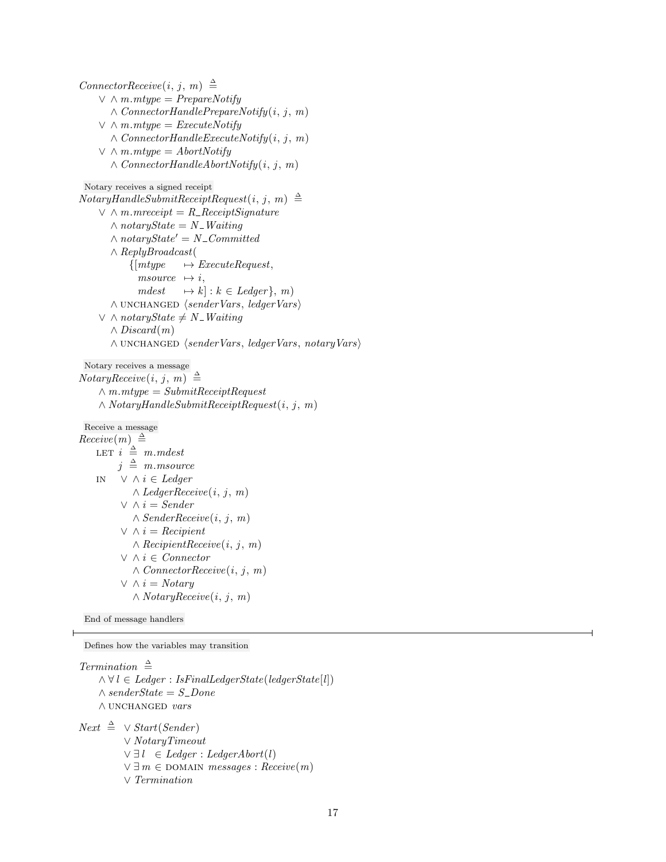$ConnectorReceive(i, j, m) \triangleq$  $\vee$   $\wedge$  *m.mtype* = *PrepareNotify*  $\wedge$  ConnectorHandlePrepareNotify(i, j, m)  $\vee$   $\wedge$  *m.mtype* = *ExecuteNotify*  $\land$  ConnectorHandleExecuteNotify $(i, j, m)$  $\vee$   $\wedge$  *m.mtype* = *AbortNotify*  $\land$  ConnectorHandleAbortNotify $(i, j, m)$ Notary receives a signed receipt  $Notary H and le Submit Receip the quest(i, j, m) \triangleq$  $\vee \wedge m$ .mreceipt = R\_ReceiptSignature  $\wedge$  notaryState = N\_Waiting  $\wedge$  notaryState' = N\_Committed ∧ ReplyBroadcast(  ${[mtype \rightarrow ExecutiveRequest,]}$ msource  $\mapsto i$ .  $mdest \rightarrow k : k \in Ledger\}$ , m) ∧ unchanged hsenderVars, ledgerVarsi  $∨ ∧ notaryState ≠ N$ -*Waiting*  $\wedge$  Discard $(m)$ ∧ unchanged hsenderVars, ledgerVars, notaryVarsi Notary receives a message  $NotaryReceive(i, j, m) \triangleq$  $\land$  m.mtype = SubmitReceiptRequest  $\land Notary H and le Submit Receiver Request (i, j, m)$ Receive a message  $Receive(m) \triangleq$ LET  $i \triangleq m$ . mdest  $j \triangleq m$ .msource in ∨ ∧ i ∈ Ledger  $\wedge$  *LedgerReceive* $(i, j, m)$  $\vee \wedge i = \mathit{Sender}$  $\land$  SenderReceive $(i, j, m)$  $\vee \wedge i = Recipient$  $\land$  RecipientReceive $(i, j, m)$ ∨ ∧ i ∈ Connector  $\wedge$  ConnectorReceive $(i, j, m)$  $\vee \wedge i = Notary$  $\wedge NotaryReceive(i, j, m)$ 

End of message handlers

Defines how the variables may transition

Termination  $\triangleq$  $\land \forall l \in \text{Ledger} : \text{IsFinalLedgerState}(\text{ledgerState}[l])$  $\wedge$  senderState = S\_Done  $\land$  UNCHANGED  $\it vars$ 

 $Next \triangleq \vee Start(Sender)$ ∨ NotaryTimeout  $\vee \exists l \in Ledger : LedgerAbort(l)$  $\vee \exists m \in$  DOMAIN messages : Receive $(m)$ ∨ Termination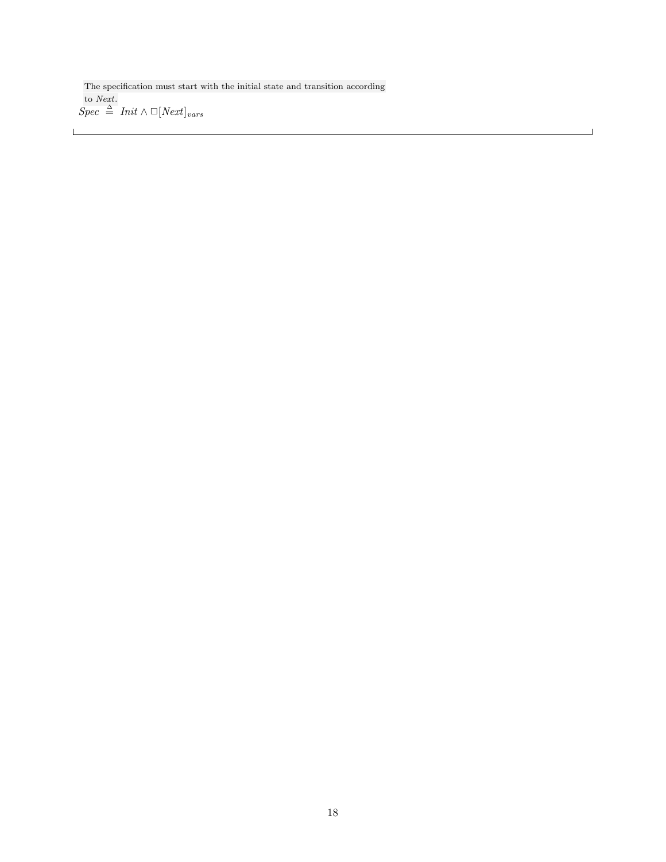The specification must start with the initial state and transition according to Next.  $Spec \triangleq Int \wedge \Box[Next]_{vars}$ 

 $\overline{\phantom{0}}$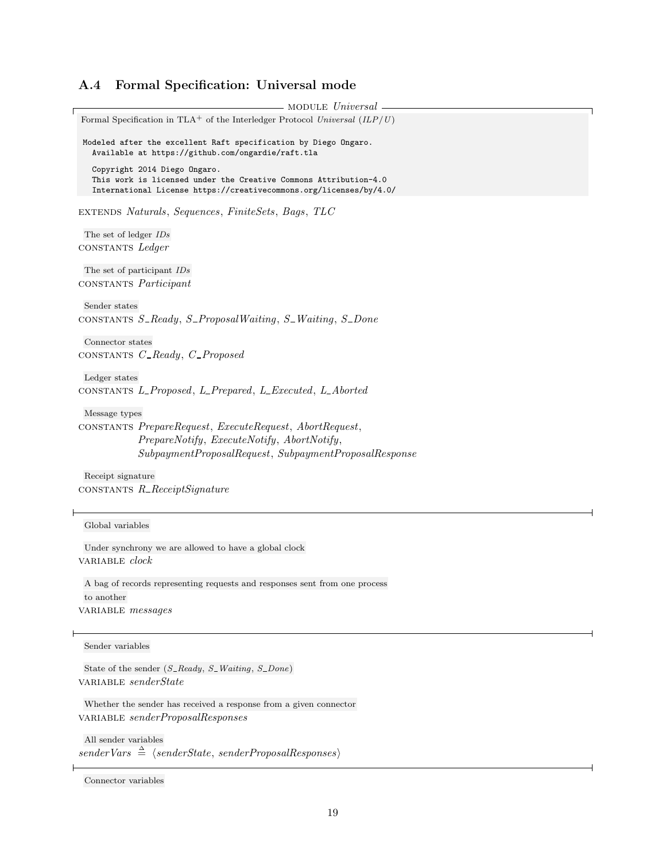# A.4 Formal Specification: Universal mode

module Universal Formal Specification in TLA<sup>+</sup> of the Interledger Protocol Universal  $(ILP/U)$ Modeled after the excellent Raft specification by Diego Ongaro. Available at https://github.com/ongardie/raft.tla Copyright 2014 Diego Ongaro. This work is licensed under the Creative Commons Attribution-4.0 International License https://creativecommons.org/licenses/by/4.0/ extends Naturals, Sequences, FiniteSets, Bags, TLC The set of ledger IDs constants Ledger The set of participant IDs constants Participant Sender states constants  $S$ -Ready,  $S$ -ProposalWaiting,  $S$ -Waiting,  $S$ -Done Connector states CONSTANTS C\_Ready, C\_Proposed Ledger states constants L Proposed, L Prepared, L Executed, L Aborted Message types constants PrepareRequest, ExecuteRequest, AbortRequest, PrepareNotify, ExecuteNotify, AbortNotify, SubpaymentProposalRequest, SubpaymentProposalResponse Receipt signature constants R ReceiptSignature Global variables Under synchrony we are allowed to have a global clock variable clock A bag of records representing requests and responses sent from one process to another VARIABLE messages Sender variables State of the sender  $(S\_Ready, S\_Waiting, S\_Done)$ variable senderState Whether the sender has received a response from a given connector variable senderProposalResponses

All sender variables  $senderVars \triangleq \langle senderState, senderProposalResponses \rangle$ 

Connector variables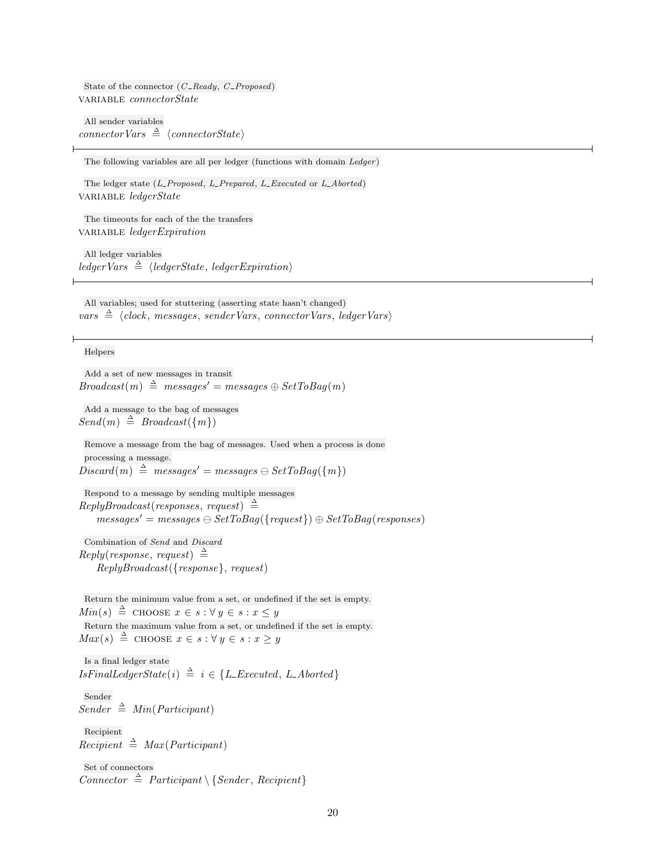State of the connector  $(C_{\textit{-}Ready}, C_{\textit{-}Proposed})$ VARIABLE connectorState

All sender variables  $connectorVars \triangleq \langle connectorState\rangle$ 

The following variables are all per ledger (functions with domain Ledger)

The ledger state (L\_Proposed, L\_Prepared, L\_Executed or L\_Aborted) variable *ledgerState* 

The timeouts for each of the the transfers variable *ledgerExpiration* 

All ledger variables ledgerVars  $\triangleq \langle \text{ledgerState}, \text{ledgerExpiration} \rangle$ 

All variables; used for stuttering (asserting state hasn't changed)  $vars \triangleq \langle clock, messages, senderVars, connectorVars, ledgerVars \rangle$ 

#### Helpers

Add a set of new messages in transit  $Broadcast(m) \triangleq messages' = messages \oplus SetToBag(m)$ 

Add a message to the bag of messages  $Send(m) \triangleq Broadcast(\lbrace m \rbrace)$ 

Remove a message from the bag of messages. Used when a process is done processing a message.  $Discard(m) \triangleq messages' = messages \ominus SetToBag(\lbrace m \rbrace)$ 

Respond to a message by sending multiple messages  $Reply Broadcast(responses, request) \triangleq$  $messages' = messages \ominus SetToBag({frequest}) \oplus SetToBag(resposes)$ 

Combination of Send and Discard  $Reply (response, request) \triangleq$ ReplyBroadcast({response}, request)

Return the minimum value from a set, or undefined if the set is empty.  $Min(s) \triangleq$  choose  $x \in s : \forall y \in s : x \leq y$ Return the maximum value from a set, or undefined if the set is empty.  $Max(s) \triangleq$  choose  $x \in s : \forall y \in s : x \geq y$ 

Is a final ledger state  $IsFinalLedgerState(i) \triangleq i \in \{L\_Executed, L\_Aborted\}$ 

Sender  $Sender \triangleq Min(Participant)$ 

Recipient  $Recipient \triangleq Max (Participant)$ 

Set of connectors Connector  $\triangleq$  Participant \ { Sender, Recipient }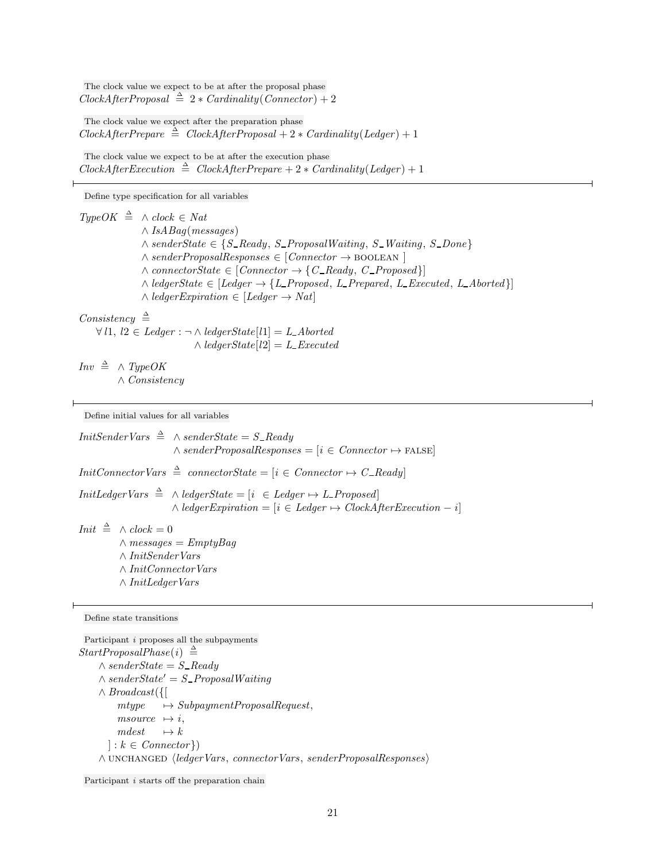The clock value we expect to be at after the proposal phase  $ClockAfterProposal \triangleq 2 * Cardinality(Connector) + 2$ 

The clock value we expect after the preparation phase  $ClockAfterPrepare \triangleq ClosedAfterProposal + 2 * Cardinality(Ledger) + 1$ 

The clock value we expect to be at after the execution phase  $ClockAfterExecution \triangleq ClockAfterPrepare + 2 * Cardinality(Ledger) + 1$ 

Define type specification for all variables

 $TypeOK \triangleq \wedge clock \in Nat$  $\wedge$  IsABaq(messages)  $∧ senderState \in {S\_Ready, S\_ProposalWaiting, S\_Waiting, S\_Done}$  $\land$  senderProposalResponses  $\in$  [Connector  $\rightarrow$  BOOLEAN ]  $\land \text{connectorState} \in [Connector \rightarrow \{C \_Ready, C \_Proposed\}]$  $\land$  ledgerState  $\in$  [Ledger  $\rightarrow$  {L\_Proposed, L\_Prepared, L\_Executed, L\_Aborted}]  $\land$  ledgerExpiration  $\in$  [Ledger  $\rightarrow$  Nat]

## Consistency  $\triangleq$

 $\forall l1, l2 \in Ledge : \neg \wedge ledgerState[l1] = L\_Aborted$  $\wedge$  ledgerState[l2] = L\_Executed

 $Inv \triangleq \wedge TypeOK$ ∧ Consistency

Define initial values for all variables

*InitSenderVars*  $\stackrel{\Delta}{=} \wedge senderState = S\_Ready$  $\land$  senderProposalResponses = [i  $\in$  Connector  $\mapsto$  FALSE]  $InitConnectorVars \triangleq connectorState = [i \in Connector \rightarrow C\_Ready]$  $Init LederVars \triangleq \wedge ledgerState = [i \in Ledge \rightarrow L\_Proposed]$  $\wedge$  ledgerExpiration = [i ∈ Ledger  $\mapsto$  ClockAfterExecution - i] *Init*  $\triangleq$  ∧ *clock* = 0  $\land$  messages = EmptyBag ∧ InitSenderVars ∧ InitConnectorVars ∧ InitLedgerVars

Define state transitions

Participant i proposes all the subpayments  $StartProposalPhase(i) \triangleq$  $\wedge$  senderState = S\_Ready  $\wedge$  senderState' = S\_ProposalWaiting ∧ Broadcast({[  $mtype \rightarrow SubpaymentProposalRequest,$  $msource \rightarrow i,$  $mdest \rightarrow k$  $\vert : k \in \mathit{Connector} \}$ ∧ unchanged hledgerVars, connectorVars, senderProposalResponsesi

Participant *i* starts off the preparation chain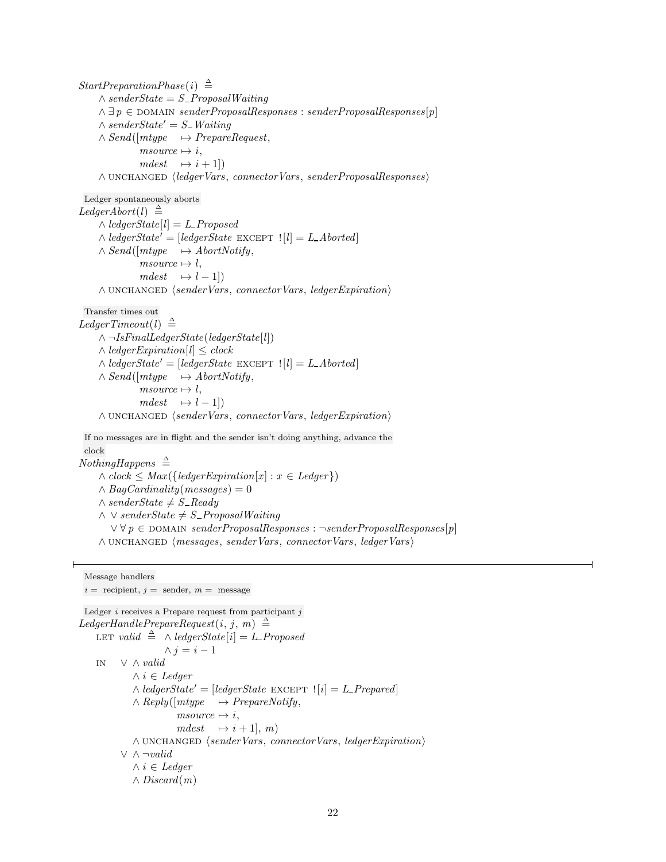$StartPreparationPhase(i) \triangleq$  $\wedge$  senderState = S\_ProposalWaiting  $\land \exists p \in \text{DOMAIN} senderProposalResponses : senderProposalResponses[p]$  $\wedge$  senderState' = S\_Waiting  $\land Send([mtype \rightarrow PrepareRequest,$  $msource \mapsto i,$  $mdest \rightarrow i + 1$ ∧ unchanged hledgerVars, connectorVars, senderProposalResponsesi Ledger spontaneously aborts  $Legendbert(l) \triangleq$  $\wedge$  ledgerState[l] = L\_Proposed  $\wedge$  ledgerState' = [ledgerState EXCEPT  $|l| = L$  Aborted]  $\land$  Send([mtype  $\rightarrow$  AbortNotify,  $msource \rightarrow l,$  $mdest \rightarrow l - 1]$ )  $\land$  UNCHANGED  $\langle senderVars, \text{connect}Vars, \text{led}qerExpiration \rangle$ Transfer times out  $Legendrecl(1) \triangleq$  $\land \neg IsFinalLeaderState(ledgerState[l])$  $\wedge$  ledgerExpiration[l]  $\leq$  clock  $\wedge$  ledgerState' = [ledgerState EXCEPT  $|l| = L$  Aborted]  $\land$  Send([mtype  $\rightarrow$  AbortNotify,  $msource \rightarrow l,$  $mdest \rightarrow l - 1$  $\land$  UNCHANGED  $\langle senderVars, \text{connect}Vars, \text{led}qerExpiration \rangle$ If no messages are in flight and the sender isn't doing anything, advance the clock  $NothingHappens \triangleq$  $\wedge clock \leq Max({\lbrace ledgerExpiration[x] : x \in Ledger \rbrace})$  $\wedge$  BagCardinality(messages) = 0  $∧ senderState \neq S$ <sub>-Ready</sub>  $\land \lor senderState \neq S\_ProposalWaiting$  $\forall \forall p \in \text{DOMAIN} senderProposalResponses : \neg senderProposalResponses[p]$ ∧ unchanged hmessages, senderVars, connectorVars, ledgerVarsi Message handlers  $i =$  recipient,  $j =$  sender,  $m =$  message

Ledger  $i$  receives a Prepare request from participant  $j$ LedgerHandlePrepareRequest $(i, j, m) \triangleq$ LET valid  $\triangleq \wedge$  ledgerState  $[i] = L$ -Proposed  $\wedge j = i - 1$ in ∨ ∧ valid  $∧ i ∈ \mathit{Leader}$  $\wedge$  ledgerState' = [ledgerState EXCEPT  $|i| = L$  Prepared]  $\land$  Reply([mtype  $\rightarrow$  PrepareNotify,  $msource \mapsto i,$  $mdest \rightarrow i + 1, m$  $\land$  UNCHANGED  $\langle senderVars, \text{connect} Vars, \text{led}qerExpiration \rangle$ ∨ ∧ ¬valid  $∧ i ∈ \n $Legendger$$  $\wedge$  Discard $(m)$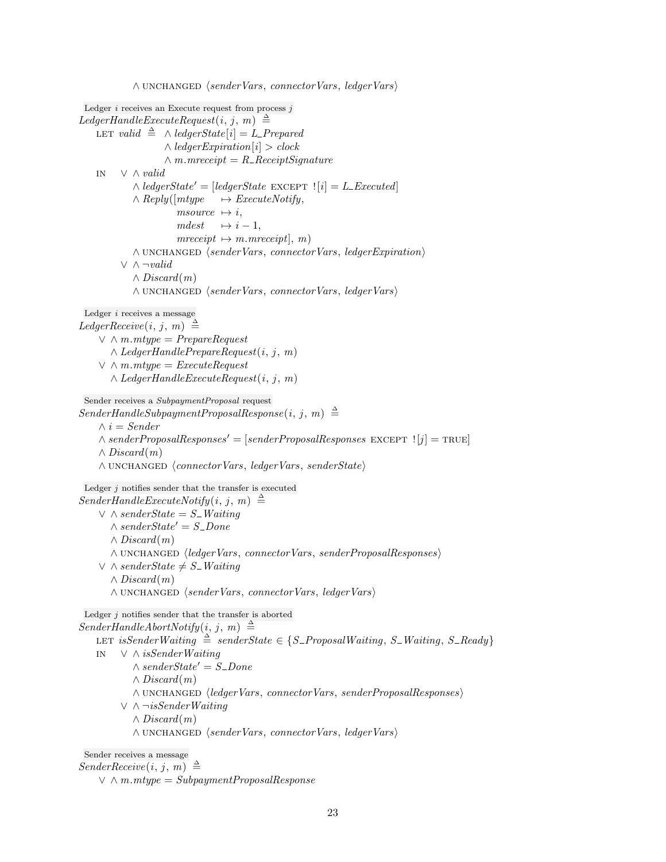```
∧ unchanged hsenderVars, connectorVars, ledgerVarsi
Ledger i receives an Execute request from process jLegendleExecuteRequest(i, j, m) \triangleqLET valid \triangleq \wedge ledgerState [i] = L-Prepared
                   \wedge ledgerExpiration[i] > clock
                   \land m.mreceipt = R_ReceiptSignature
   in ∨ ∧ valid
            \wedge ledgerState' = [ledgerState EXCEPT |i| = L Executed]
            \land Reply([mtype \rightarrow ExecuteNotify,
                      msource \mapsto i,
                      mdest \rightarrow i - 1,mreceipt \mapsto m.mreceipt, m)\land UNCHANGED \langle senderVars, \text{ connectorVars}, \text{ledgerExpiration}\rangle∨ ∧ ¬valid
            \wedge Discard(m)∧ unchanged hsenderVars, connectorVars, ledgerVarsi
Ledger i receives a message
LedgerReceive(i, j, m) \triangleq\vee \wedge m.mtype = PrepareRequest
       \wedge LedgerHandlePrepareRequest(i, j, m)\vee \wedge m.mtype = ExecuteRequest
       \wedge LedgerHandleExecuteRequest(i, j, m)Sender receives a SubpaymentProposal request
SenderHandleSubpaymentProposalResponse(i, j, m) \triangleq\wedge i = \text{Sender}\wedge senderProposalResponses' = [senderProposalResponses EXCEPT |j| = TRUE]
    \wedge Discard(m)∧ unchanged hconnectorVars, ledgerVars, senderStatei
Ledger j notifies sender that the transfer is executed
SenderHandleExecuteNotify(i, j, m) \triangleq\vee \wedge senderState = S<sub>-</sub> Waiting
       \wedge senderState' = S_Done
       \wedge Discard(m)∧ unchanged hledgerVars, connectorVars, senderProposalResponsesi
    ∨ \land senderState \neq S_Waiting
       \wedge Discard(m)∧ unchanged hsenderVars, connectorVars, ledgerVarsi
Ledger j notifies sender that the transfer is aborted
SenderHandleAboutNotify(i, j, m) \triangleqLET isSenderWaiting \triangleq senderState \in \{S\_\text{ProposalWaiting}, S\_\text{Waiting}, S\_\text{Ready}\}\in ∨ ∧ isSenderWaiting
            \wedge senderState' = S_Done
            \wedge Discard(m)∧ unchanged hledgerVars, connectorVars, senderProposalResponsesi
         ∨ ∧ ¬isSenderWaiting
            \wedge Discard(m)∧ unchanged hsenderVars, connectorVars, ledgerVarsi
 Sender receives a message
SenderReceive(i, j, m) \triangleq
```

```
\vee \wedge m.mtype = SubpaymentProposalResponse
```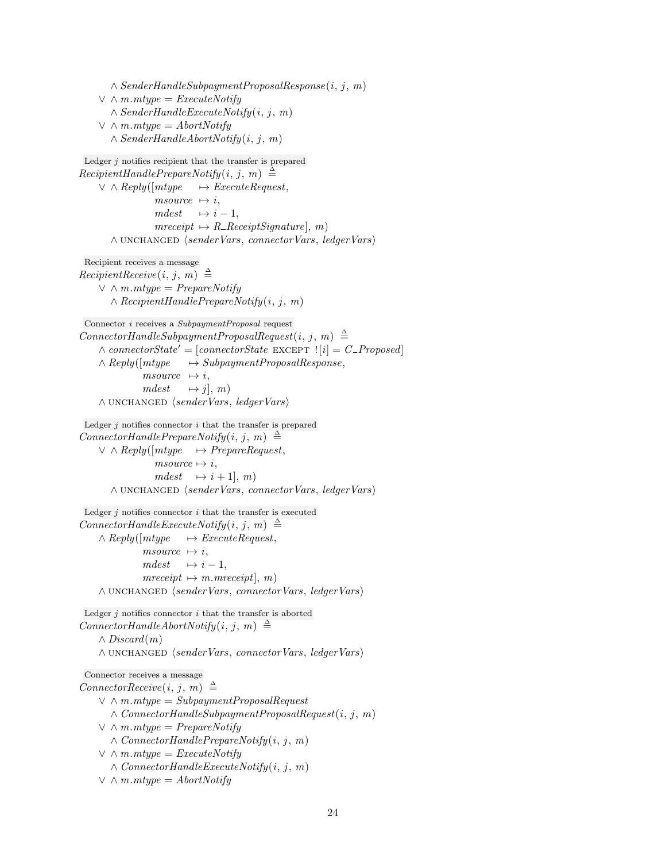$\land$  SenderHandleSubpaymentProposalResponse(i, j, m)  $\vee$   $\wedge$  *m.mtype* = *ExecuteNotify*  $\land$  SenderHandleExecuteNotify $(i, j, m)$  $\vee$   $\wedge$  *m.mtype* = *AbortNotify*  $\land$  SenderHandleAbortNotify $(i, j, m)$ Ledger  $j$  notifies recipient that the transfer is prepared  $Recipient HandlePrepareNotify(i, j, m) \triangleq$  $\vee \wedge \mathit{Reply}(\lceil mtype \rceil \rightarrow \mathit{ExecuteRequest}, \rceil$ msource  $\mapsto i$ ,  $mdest \rightarrow i - 1,$  $mreceipt \rightarrow R \_ReceiptSignature$ , m) ∧ unchanged hsenderVars, connectorVars, ledgerVarsi Recipient receives a message  $Recipient Receiver(i, j, m) \triangleq$  $\vee$   $\wedge$  *m.mtype* = *PrepareNotify*  $\land$  RecipientHandlePrepareNotify $(i, j, m)$ Connector i receives a SubpaymentProposal request  $Connector$ HandleSubpaymentProposalRequest $(i, j, m) \triangleq$  $\wedge \text{connectorState'} = [\text{connectorState EXCEPT} : [i] = C_{\text{Proposed}}]$  $\land$  Reply( $[mype \rightarrow SubpaymentProposalResponse,$  $msource \rightarrow i,$  $mdest \rightarrow j, m$  $\land$  UNCHANGED  $\langle senderVars, ledgerVars \rangle$ Ledger  $j$  notifies connector  $i$  that the transfer is prepared  $Connector \text{H} and \text{lePrepareNotify}(i, j, m) \triangleq$  $\vee$   $\wedge$  Reply([mtype  $\rightarrow$  PrepareRequest,  $msource \mapsto i$ ,  $mdest \rightarrow i + 1, m$ ∧ unchanged hsenderVars, connectorVars, ledgerVarsi Ledger  $j$  notifies connector  $i$  that the transfer is executed  $Connector \text{H} and \text{le} \text{ExecuteNotify}(i, j, m) \triangleq$  $\land$  Reply([mtype  $\rightarrow$  ExecuteRequest,  $msource \rightarrow i,$  $mdest \rightarrow i - 1,$  $mreceipt \rightarrow m.mreceipt, m)$ ∧ unchanged hsenderVars, connectorVars, ledgerVarsi Ledger  $j$  notifies connector  $i$  that the transfer is aborted  $Connector H and le Abort Notify(i, j, m) \triangleq$  $\wedge$  Discard $(m)$ ∧ unchanged hsenderVars, connectorVars, ledgerVarsi Connector receives a message  $ConnectorReceive(i, j, m) \triangleq$  $\vee$   $\wedge$  *m.mtype* = SubpaymentProposalRequest  $\land$  ConnectorHandleSubpaymentProposalRequest $(i, j, m)$  $\vee$   $\wedge$  m.mtype = PrepareNotify  $\land$  ConnectorHandlePrepareNotify $(i, j, m)$  $\vee$   $\wedge$  *m.mtype* = *ExecuteNotify*  $\wedge$  ConnectorHandleExecuteNotify $(i, j, m)$  $\vee \wedge m$ .*mtype* = AbortNotify